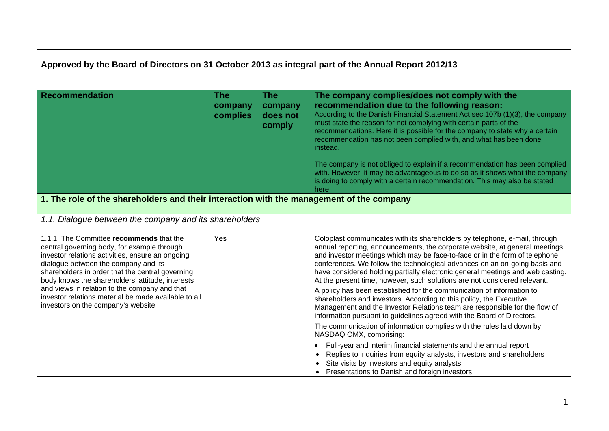## **Approved by the Board of Directors on 31 October 2013 as integral part of the Annual Report 2012/13**

| <b>Recommendation</b>                                                                                                                                                                                                                                                                                                                                                                                                                      | <b>The</b><br>company<br>complies | <b>The</b><br>company<br>does not<br>comply | The company complies/does not comply with the<br>recommendation due to the following reason:<br>According to the Danish Financial Statement Act sec. 107b (1)(3), the company<br>must state the reason for not complying with certain parts of the<br>recommendations. Here it is possible for the company to state why a certain<br>recommendation has not been complied with, and what has been done<br>instead.<br>The company is not obliged to explain if a recommendation has been complied<br>with. However, it may be advantageous to do so as it shows what the company<br>is doing to comply with a certain recommendation. This may also be stated<br>here.                                                                                                                        |
|--------------------------------------------------------------------------------------------------------------------------------------------------------------------------------------------------------------------------------------------------------------------------------------------------------------------------------------------------------------------------------------------------------------------------------------------|-----------------------------------|---------------------------------------------|-----------------------------------------------------------------------------------------------------------------------------------------------------------------------------------------------------------------------------------------------------------------------------------------------------------------------------------------------------------------------------------------------------------------------------------------------------------------------------------------------------------------------------------------------------------------------------------------------------------------------------------------------------------------------------------------------------------------------------------------------------------------------------------------------|
| 1. The role of the shareholders and their interaction with the management of the company                                                                                                                                                                                                                                                                                                                                                   |                                   |                                             |                                                                                                                                                                                                                                                                                                                                                                                                                                                                                                                                                                                                                                                                                                                                                                                               |
| 1.1. Dialogue between the company and its shareholders                                                                                                                                                                                                                                                                                                                                                                                     |                                   |                                             |                                                                                                                                                                                                                                                                                                                                                                                                                                                                                                                                                                                                                                                                                                                                                                                               |
| 1.1.1. The Committee recommends that the<br>central governing body, for example through<br>investor relations activities, ensure an ongoing<br>dialogue between the company and its<br>shareholders in order that the central governing<br>body knows the shareholders' attitude, interests<br>and views in relation to the company and that<br>investor relations material be made available to all<br>investors on the company's website | Yes                               |                                             | Coloplast communicates with its shareholders by telephone, e-mail, through<br>annual reporting, announcements, the corporate website, at general meetings<br>and investor meetings which may be face-to-face or in the form of telephone<br>conferences. We follow the technological advances on an on-going basis and<br>have considered holding partially electronic general meetings and web casting.<br>At the present time, however, such solutions are not considered relevant.<br>A policy has been established for the communication of information to<br>shareholders and investors. According to this policy, the Executive<br>Management and the Investor Relations team are responsible for the flow of<br>information pursuant to guidelines agreed with the Board of Directors. |
|                                                                                                                                                                                                                                                                                                                                                                                                                                            |                                   |                                             | The communication of information complies with the rules laid down by<br>NASDAQ OMX, comprising:                                                                                                                                                                                                                                                                                                                                                                                                                                                                                                                                                                                                                                                                                              |
|                                                                                                                                                                                                                                                                                                                                                                                                                                            |                                   |                                             | Full-year and interim financial statements and the annual report<br>$\bullet$<br>Replies to inquiries from equity analysts, investors and shareholders<br>Site visits by investors and equity analysts<br>Presentations to Danish and foreign investors<br>$\bullet$                                                                                                                                                                                                                                                                                                                                                                                                                                                                                                                          |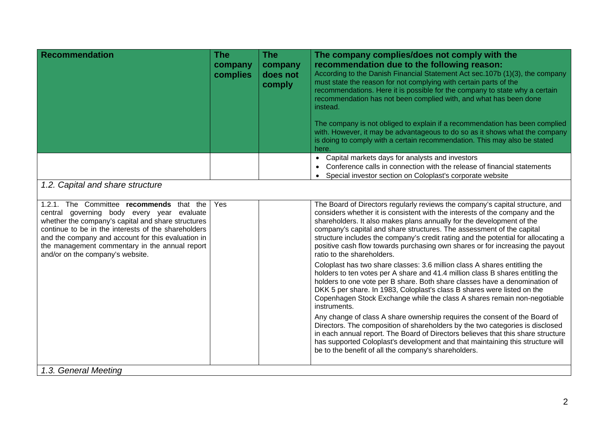| <b>Recommendation</b>                                                                                                                                                                                                                                                                                                                           | <b>The</b><br>company<br>complies | <b>The</b><br>company<br>does not<br>comply | The company complies/does not comply with the<br>recommendation due to the following reason:<br>According to the Danish Financial Statement Act sec.107b (1)(3), the company<br>must state the reason for not complying with certain parts of the<br>recommendations. Here it is possible for the company to state why a certain<br>recommendation has not been complied with, and what has been done<br>instead.<br>The company is not obliged to explain if a recommendation has been complied<br>with. However, it may be advantageous to do so as it shows what the company<br>is doing to comply with a certain recommendation. This may also be stated<br>here. |  |  |  |
|-------------------------------------------------------------------------------------------------------------------------------------------------------------------------------------------------------------------------------------------------------------------------------------------------------------------------------------------------|-----------------------------------|---------------------------------------------|-----------------------------------------------------------------------------------------------------------------------------------------------------------------------------------------------------------------------------------------------------------------------------------------------------------------------------------------------------------------------------------------------------------------------------------------------------------------------------------------------------------------------------------------------------------------------------------------------------------------------------------------------------------------------|--|--|--|
|                                                                                                                                                                                                                                                                                                                                                 |                                   |                                             | • Capital markets days for analysts and investors<br>Conference calls in connection with the release of financial statements<br>Special investor section on Coloplast's corporate website                                                                                                                                                                                                                                                                                                                                                                                                                                                                             |  |  |  |
| 1.2. Capital and share structure                                                                                                                                                                                                                                                                                                                |                                   |                                             |                                                                                                                                                                                                                                                                                                                                                                                                                                                                                                                                                                                                                                                                       |  |  |  |
| 1.2.1. The Committee recommends that the<br>central governing body every year evaluate<br>whether the company's capital and share structures<br>continue to be in the interests of the shareholders<br>and the company and account for this evaluation in<br>the management commentary in the annual report<br>and/or on the company's website. | Yes                               |                                             | The Board of Directors regularly reviews the company's capital structure, and<br>considers whether it is consistent with the interests of the company and the<br>shareholders. It also makes plans annually for the development of the<br>company's capital and share structures. The assessment of the capital<br>structure includes the company's credit rating and the potential for allocating a<br>positive cash flow towards purchasing own shares or for increasing the payout<br>ratio to the shareholders.                                                                                                                                                   |  |  |  |
|                                                                                                                                                                                                                                                                                                                                                 |                                   |                                             | Coloplast has two share classes: 3.6 million class A shares entitling the<br>holders to ten votes per A share and 41.4 million class B shares entitling the<br>holders to one vote per B share. Both share classes have a denomination of<br>DKK 5 per share. In 1983, Coloplast's class B shares were listed on the<br>Copenhagen Stock Exchange while the class A shares remain non-negotiable<br>instruments.                                                                                                                                                                                                                                                      |  |  |  |
|                                                                                                                                                                                                                                                                                                                                                 |                                   |                                             | Any change of class A share ownership requires the consent of the Board of<br>Directors. The composition of shareholders by the two categories is disclosed<br>in each annual report. The Board of Directors believes that this share structure<br>has supported Coloplast's development and that maintaining this structure will<br>be to the benefit of all the company's shareholders.                                                                                                                                                                                                                                                                             |  |  |  |
| 1.3. General Meeting                                                                                                                                                                                                                                                                                                                            |                                   |                                             |                                                                                                                                                                                                                                                                                                                                                                                                                                                                                                                                                                                                                                                                       |  |  |  |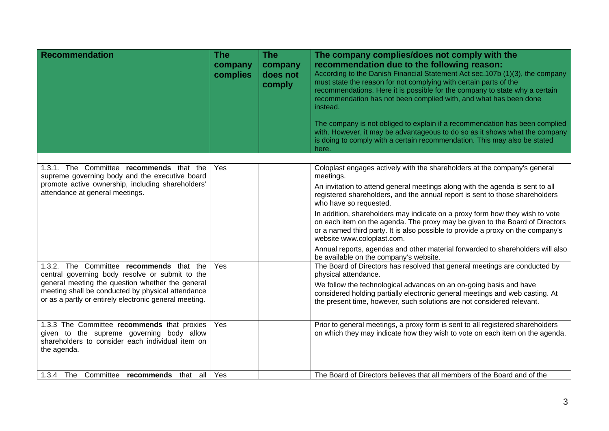| <b>Recommendation</b>                                                                                                                                           | <b>The</b><br>company<br>complies | <b>The</b><br>company<br>does not<br>comply | The company complies/does not comply with the<br>recommendation due to the following reason:<br>According to the Danish Financial Statement Act sec.107b (1)(3), the company<br>must state the reason for not complying with certain parts of the<br>recommendations. Here it is possible for the company to state why a certain<br>recommendation has not been complied with, and what has been done<br>instead.<br>The company is not obliged to explain if a recommendation has been complied<br>with. However, it may be advantageous to do so as it shows what the company<br>is doing to comply with a certain recommendation. This may also be stated<br>here. |
|-----------------------------------------------------------------------------------------------------------------------------------------------------------------|-----------------------------------|---------------------------------------------|-----------------------------------------------------------------------------------------------------------------------------------------------------------------------------------------------------------------------------------------------------------------------------------------------------------------------------------------------------------------------------------------------------------------------------------------------------------------------------------------------------------------------------------------------------------------------------------------------------------------------------------------------------------------------|
| 1.3.1. The Committee recommends that the<br>supreme governing body and the executive board                                                                      | Yes                               |                                             | Coloplast engages actively with the shareholders at the company's general<br>meetings.                                                                                                                                                                                                                                                                                                                                                                                                                                                                                                                                                                                |
| promote active ownership, including shareholders'<br>attendance at general meetings.                                                                            |                                   |                                             | An invitation to attend general meetings along with the agenda is sent to all<br>registered shareholders, and the annual report is sent to those shareholders<br>who have so requested.                                                                                                                                                                                                                                                                                                                                                                                                                                                                               |
|                                                                                                                                                                 |                                   |                                             | In addition, shareholders may indicate on a proxy form how they wish to vote<br>on each item on the agenda. The proxy may be given to the Board of Directors<br>or a named third party. It is also possible to provide a proxy on the company's<br>website www.coloplast.com.                                                                                                                                                                                                                                                                                                                                                                                         |
|                                                                                                                                                                 |                                   |                                             | Annual reports, agendas and other material forwarded to shareholders will also<br>be available on the company's website.                                                                                                                                                                                                                                                                                                                                                                                                                                                                                                                                              |
| 1.3.2. The Committee recommends that the<br>central governing body resolve or submit to the                                                                     | Yes                               |                                             | The Board of Directors has resolved that general meetings are conducted by<br>physical attendance.                                                                                                                                                                                                                                                                                                                                                                                                                                                                                                                                                                    |
| general meeting the question whether the general<br>meeting shall be conducted by physical attendance<br>or as a partly or entirely electronic general meeting. |                                   |                                             | We follow the technological advances on an on-going basis and have<br>considered holding partially electronic general meetings and web casting. At<br>the present time, however, such solutions are not considered relevant.                                                                                                                                                                                                                                                                                                                                                                                                                                          |
| 1.3.3 The Committee recommends that proxies<br>given to the supreme governing body allow<br>shareholders to consider each individual item on<br>the agenda.     | Yes                               |                                             | Prior to general meetings, a proxy form is sent to all registered shareholders<br>on which they may indicate how they wish to vote on each item on the agenda.                                                                                                                                                                                                                                                                                                                                                                                                                                                                                                        |
| 1.3.4 The Committee recommends that                                                                                                                             | all   Yes                         |                                             | The Board of Directors believes that all members of the Board and of the                                                                                                                                                                                                                                                                                                                                                                                                                                                                                                                                                                                              |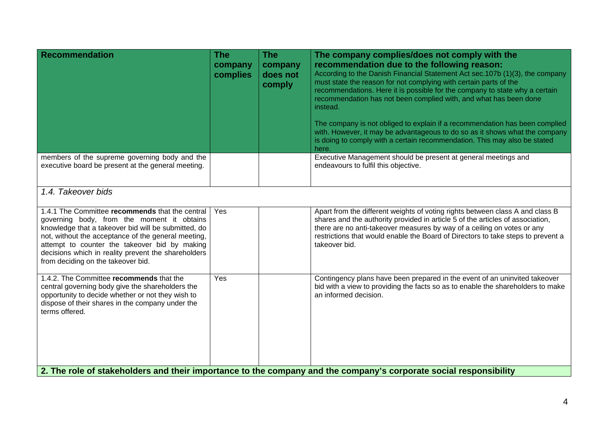| <b>Recommendation</b>                                                                                                                                                                                                                                                                                                                                     | <b>The</b><br>company<br>complies | <b>The</b><br>company<br>does not<br>comply | The company complies/does not comply with the<br>recommendation due to the following reason:<br>According to the Danish Financial Statement Act sec.107b (1)(3), the company<br>must state the reason for not complying with certain parts of the<br>recommendations. Here it is possible for the company to state why a certain<br>recommendation has not been complied with, and what has been done<br>instead.<br>The company is not obliged to explain if a recommendation has been complied<br>with. However, it may be advantageous to do so as it shows what the company<br>is doing to comply with a certain recommendation. This may also be stated<br>here. |  |  |
|-----------------------------------------------------------------------------------------------------------------------------------------------------------------------------------------------------------------------------------------------------------------------------------------------------------------------------------------------------------|-----------------------------------|---------------------------------------------|-----------------------------------------------------------------------------------------------------------------------------------------------------------------------------------------------------------------------------------------------------------------------------------------------------------------------------------------------------------------------------------------------------------------------------------------------------------------------------------------------------------------------------------------------------------------------------------------------------------------------------------------------------------------------|--|--|
| members of the supreme governing body and the<br>executive board be present at the general meeting.                                                                                                                                                                                                                                                       |                                   |                                             | Executive Management should be present at general meetings and<br>endeavours to fulfil this objective.                                                                                                                                                                                                                                                                                                                                                                                                                                                                                                                                                                |  |  |
| 1.4. Takeover bids                                                                                                                                                                                                                                                                                                                                        |                                   |                                             |                                                                                                                                                                                                                                                                                                                                                                                                                                                                                                                                                                                                                                                                       |  |  |
| 1.4.1 The Committee recommends that the central<br>governing body, from the moment it obtains<br>knowledge that a takeover bid will be submitted, do<br>not, without the acceptance of the general meeting,<br>attempt to counter the takeover bid by making<br>decisions which in reality prevent the shareholders<br>from deciding on the takeover bid. | Yes                               |                                             | Apart from the different weights of voting rights between class A and class B<br>shares and the authority provided in article 5 of the articles of association,<br>there are no anti-takeover measures by way of a ceiling on votes or any<br>restrictions that would enable the Board of Directors to take steps to prevent a<br>takeover bid.                                                                                                                                                                                                                                                                                                                       |  |  |
| 1.4.2. The Committee recommends that the<br>central governing body give the shareholders the<br>opportunity to decide whether or not they wish to<br>dispose of their shares in the company under the<br>terms offered.                                                                                                                                   | Yes                               |                                             | Contingency plans have been prepared in the event of an uninvited takeover<br>bid with a view to providing the facts so as to enable the shareholders to make<br>an informed decision.                                                                                                                                                                                                                                                                                                                                                                                                                                                                                |  |  |
| 2. The role of stakeholders and their importance to the company and the company's corporate social responsibility                                                                                                                                                                                                                                         |                                   |                                             |                                                                                                                                                                                                                                                                                                                                                                                                                                                                                                                                                                                                                                                                       |  |  |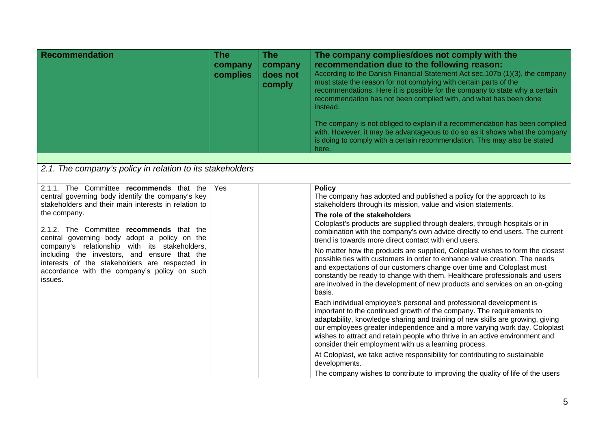| Recommendation                                                                                                                                                                                                                                                                                                                                                                                                                                                                  | <b>The</b><br>company<br>complies | <b>The</b><br>company<br>does not<br>comply | The company complies/does not comply with the<br>recommendation due to the following reason:<br>According to the Danish Financial Statement Act sec.107b (1)(3), the company<br>must state the reason for not complying with certain parts of the<br>recommendations. Here it is possible for the company to state why a certain<br>recommendation has not been complied with, and what has been done<br>instead.<br>The company is not obliged to explain if a recommendation has been complied<br>with. However, it may be advantageous to do so as it shows what the company<br>is doing to comply with a certain recommendation. This may also be stated<br>here.                                                                                                                                                                                                                                                                                                                                                                                                                                                                                                                                                                                                                                                                                                                                                                                                    |
|---------------------------------------------------------------------------------------------------------------------------------------------------------------------------------------------------------------------------------------------------------------------------------------------------------------------------------------------------------------------------------------------------------------------------------------------------------------------------------|-----------------------------------|---------------------------------------------|--------------------------------------------------------------------------------------------------------------------------------------------------------------------------------------------------------------------------------------------------------------------------------------------------------------------------------------------------------------------------------------------------------------------------------------------------------------------------------------------------------------------------------------------------------------------------------------------------------------------------------------------------------------------------------------------------------------------------------------------------------------------------------------------------------------------------------------------------------------------------------------------------------------------------------------------------------------------------------------------------------------------------------------------------------------------------------------------------------------------------------------------------------------------------------------------------------------------------------------------------------------------------------------------------------------------------------------------------------------------------------------------------------------------------------------------------------------------------|
| 2.1. The company's policy in relation to its stakeholders                                                                                                                                                                                                                                                                                                                                                                                                                       |                                   |                                             |                                                                                                                                                                                                                                                                                                                                                                                                                                                                                                                                                                                                                                                                                                                                                                                                                                                                                                                                                                                                                                                                                                                                                                                                                                                                                                                                                                                                                                                                          |
| 2.1.1. The Committee recommends that the<br>central governing body identify the company's key<br>stakeholders and their main interests in relation to<br>the company.<br>2.1.2. The Committee recommends that the<br>central governing body adopt a policy on the<br>company's relationship with its stakeholders,<br>including the investors, and ensure that the<br>interests of the stakeholders are respected in<br>accordance with the company's policy on such<br>issues. | Yes                               |                                             | <b>Policy</b><br>The company has adopted and published a policy for the approach to its<br>stakeholders through its mission, value and vision statements.<br>The role of the stakeholders<br>Coloplast's products are supplied through dealers, through hospitals or in<br>combination with the company's own advice directly to end users. The current<br>trend is towards more direct contact with end users.<br>No matter how the products are supplied, Coloplast wishes to form the closest<br>possible ties with customers in order to enhance value creation. The needs<br>and expectations of our customers change over time and Coloplast must<br>constantly be ready to change with them. Healthcare professionals and users<br>are involved in the development of new products and services on an on-going<br>basis.<br>Each individual employee's personal and professional development is<br>important to the continued growth of the company. The requirements to<br>adaptability, knowledge sharing and training of new skills are growing, giving<br>our employees greater independence and a more varying work day. Coloplast<br>wishes to attract and retain people who thrive in an active environment and<br>consider their employment with us a learning process.<br>At Coloplast, we take active responsibility for contributing to sustainable<br>developments.<br>The company wishes to contribute to improving the quality of life of the users |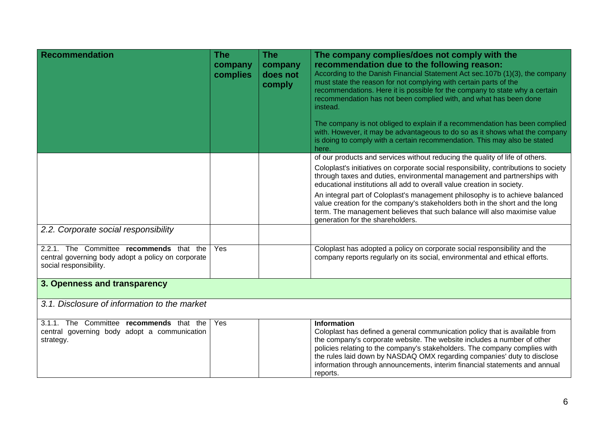| <b>Recommendation</b>                                                                                                    | <b>The</b><br>company<br>complies | <b>The</b><br>company<br>does not<br>comply | The company complies/does not comply with the<br>recommendation due to the following reason:<br>According to the Danish Financial Statement Act sec.107b (1)(3), the company<br>must state the reason for not complying with certain parts of the<br>recommendations. Here it is possible for the company to state why a certain<br>recommendation has not been complied with, and what has been done<br>instead.<br>The company is not obliged to explain if a recommendation has been complied<br>with. However, it may be advantageous to do so as it shows what the company<br>is doing to comply with a certain recommendation. This may also be stated<br>here. |
|--------------------------------------------------------------------------------------------------------------------------|-----------------------------------|---------------------------------------------|-----------------------------------------------------------------------------------------------------------------------------------------------------------------------------------------------------------------------------------------------------------------------------------------------------------------------------------------------------------------------------------------------------------------------------------------------------------------------------------------------------------------------------------------------------------------------------------------------------------------------------------------------------------------------|
|                                                                                                                          |                                   |                                             | of our products and services without reducing the quality of life of others.                                                                                                                                                                                                                                                                                                                                                                                                                                                                                                                                                                                          |
|                                                                                                                          |                                   |                                             | Coloplast's initiatives on corporate social responsibility, contributions to society<br>through taxes and duties, environmental management and partnerships with<br>educational institutions all add to overall value creation in society.                                                                                                                                                                                                                                                                                                                                                                                                                            |
|                                                                                                                          |                                   |                                             | An integral part of Coloplast's management philosophy is to achieve balanced<br>value creation for the company's stakeholders both in the short and the long<br>term. The management believes that such balance will also maximise value<br>generation for the shareholders.                                                                                                                                                                                                                                                                                                                                                                                          |
| 2.2. Corporate social responsibility                                                                                     |                                   |                                             |                                                                                                                                                                                                                                                                                                                                                                                                                                                                                                                                                                                                                                                                       |
| 2.2.1. The Committee recommends that the<br>central governing body adopt a policy on corporate<br>social responsibility. | Yes                               |                                             | Coloplast has adopted a policy on corporate social responsibility and the<br>company reports regularly on its social, environmental and ethical efforts.                                                                                                                                                                                                                                                                                                                                                                                                                                                                                                              |
| 3. Openness and transparency                                                                                             |                                   |                                             |                                                                                                                                                                                                                                                                                                                                                                                                                                                                                                                                                                                                                                                                       |
| 3.1. Disclosure of information to the market                                                                             |                                   |                                             |                                                                                                                                                                                                                                                                                                                                                                                                                                                                                                                                                                                                                                                                       |
| 3.1.1. The Committee recommends that the<br>central governing body adopt a communication<br>strategy.                    | Yes                               |                                             | <b>Information</b><br>Coloplast has defined a general communication policy that is available from<br>the company's corporate website. The website includes a number of other<br>policies relating to the company's stakeholders. The company complies with<br>the rules laid down by NASDAQ OMX regarding companies' duty to disclose<br>information through announcements, interim financial statements and annual<br>reports.                                                                                                                                                                                                                                       |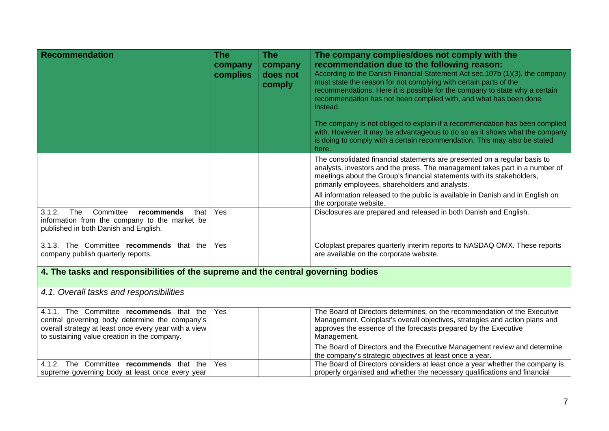| <b>Recommendation</b>                                                                                                                                                                               | <b>The</b><br>company<br>complies | <b>The</b><br>company<br>does not<br>comply | The company complies/does not comply with the<br>recommendation due to the following reason:<br>According to the Danish Financial Statement Act sec.107b (1)(3), the company<br>must state the reason for not complying with certain parts of the<br>recommendations. Here it is possible for the company to state why a certain<br>recommendation has not been complied with, and what has been done<br>instead. |
|-----------------------------------------------------------------------------------------------------------------------------------------------------------------------------------------------------|-----------------------------------|---------------------------------------------|-------------------------------------------------------------------------------------------------------------------------------------------------------------------------------------------------------------------------------------------------------------------------------------------------------------------------------------------------------------------------------------------------------------------|
|                                                                                                                                                                                                     |                                   |                                             | The company is not obliged to explain if a recommendation has been complied<br>with. However, it may be advantageous to do so as it shows what the company<br>is doing to comply with a certain recommendation. This may also be stated<br>here.                                                                                                                                                                  |
|                                                                                                                                                                                                     |                                   |                                             | The consolidated financial statements are presented on a regular basis to<br>analysts, investors and the press. The management takes part in a number of<br>meetings about the Group's financial statements with its stakeholders,<br>primarily employees, shareholders and analysts.                                                                                                                             |
|                                                                                                                                                                                                     |                                   |                                             | All information released to the public is available in Danish and in English on<br>the corporate website.                                                                                                                                                                                                                                                                                                         |
| 3.1.2.<br>The<br>Committee<br>that<br>recommends<br>information from the company to the market be<br>published in both Danish and English.                                                          | Yes                               |                                             | Disclosures are prepared and released in both Danish and English.                                                                                                                                                                                                                                                                                                                                                 |
| 3.1.3. The Committee recommends that the<br>company publish quarterly reports.                                                                                                                      | Yes                               |                                             | Coloplast prepares quarterly interim reports to NASDAQ OMX. These reports<br>are available on the corporate website.                                                                                                                                                                                                                                                                                              |
| 4. The tasks and responsibilities of the supreme and the central governing bodies                                                                                                                   |                                   |                                             |                                                                                                                                                                                                                                                                                                                                                                                                                   |
| 4.1. Overall tasks and responsibilities                                                                                                                                                             |                                   |                                             |                                                                                                                                                                                                                                                                                                                                                                                                                   |
| 4.1.1. The Committee recommends that the<br>central governing body determine the company's<br>overall strategy at least once every year with a view<br>to sustaining value creation in the company. | Yes                               |                                             | The Board of Directors determines, on the recommendation of the Executive<br>Management, Coloplast's overall objectives, strategies and action plans and<br>approves the essence of the forecasts prepared by the Executive<br>Management.                                                                                                                                                                        |
|                                                                                                                                                                                                     |                                   |                                             | The Board of Directors and the Executive Management review and determine<br>the company's strategic objectives at least once a year.                                                                                                                                                                                                                                                                              |
| 4.1.2. The Committee recommends that the<br>supreme governing body at least once every year                                                                                                         | Yes                               |                                             | The Board of Directors considers at least once a year whether the company is<br>properly organised and whether the necessary qualifications and financial                                                                                                                                                                                                                                                         |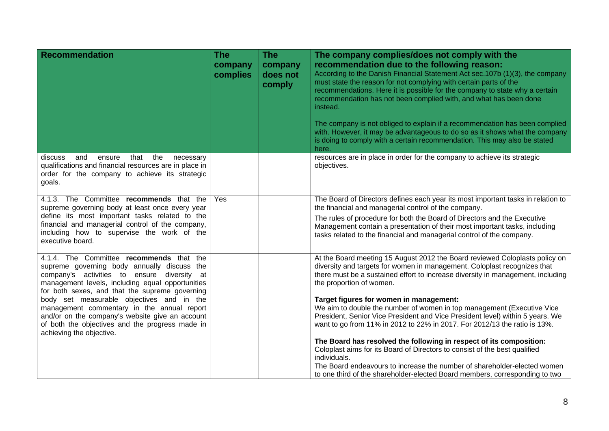| <b>Recommendation</b>                                                                                                                                                                                                                                                                                                                                                                                                                                                        | <b>The</b><br>company<br>complies | <b>The</b><br>company<br>does not<br>comply | The company complies/does not comply with the<br>recommendation due to the following reason:<br>According to the Danish Financial Statement Act sec.107b (1)(3), the company<br>must state the reason for not complying with certain parts of the<br>recommendations. Here it is possible for the company to state why a certain<br>recommendation has not been complied with, and what has been done<br>instead.<br>The company is not obliged to explain if a recommendation has been complied<br>with. However, it may be advantageous to do so as it shows what the company<br>is doing to comply with a certain recommendation. This may also be stated<br>here.                                                                                                                                                                                                                     |
|------------------------------------------------------------------------------------------------------------------------------------------------------------------------------------------------------------------------------------------------------------------------------------------------------------------------------------------------------------------------------------------------------------------------------------------------------------------------------|-----------------------------------|---------------------------------------------|-------------------------------------------------------------------------------------------------------------------------------------------------------------------------------------------------------------------------------------------------------------------------------------------------------------------------------------------------------------------------------------------------------------------------------------------------------------------------------------------------------------------------------------------------------------------------------------------------------------------------------------------------------------------------------------------------------------------------------------------------------------------------------------------------------------------------------------------------------------------------------------------|
| that<br>the<br>discuss<br>and<br>ensure<br>necessary<br>qualifications and financial resources are in place in<br>order for the company to achieve its strategic<br>goals.                                                                                                                                                                                                                                                                                                   |                                   |                                             | resources are in place in order for the company to achieve its strategic<br>objectives.                                                                                                                                                                                                                                                                                                                                                                                                                                                                                                                                                                                                                                                                                                                                                                                                   |
| 4.1.3. The Committee recommends that the<br>supreme governing body at least once every year<br>define its most important tasks related to the<br>financial and managerial control of the company,<br>including how to supervise the work of the<br>executive board.                                                                                                                                                                                                          | Yes                               |                                             | The Board of Directors defines each year its most important tasks in relation to<br>the financial and managerial control of the company.<br>The rules of procedure for both the Board of Directors and the Executive<br>Management contain a presentation of their most important tasks, including<br>tasks related to the financial and managerial control of the company.                                                                                                                                                                                                                                                                                                                                                                                                                                                                                                               |
| 4.1.4. The Committee recommends that the<br>supreme governing body annually discuss the<br>company's activities to ensure<br>diversity at<br>management levels, including equal opportunities<br>for both sexes, and that the supreme governing<br>body set measurable objectives and in the<br>management commentary in the annual report<br>and/or on the company's website give an account<br>of both the objectives and the progress made in<br>achieving the objective. |                                   |                                             | At the Board meeting 15 August 2012 the Board reviewed Coloplasts policy on<br>diversity and targets for women in management. Coloplast recognizes that<br>there must be a sustained effort to increase diversity in management, including<br>the proportion of women.<br>Target figures for women in management:<br>We aim to double the number of women in top management (Executive Vice<br>President, Senior Vice President and Vice President level) within 5 years. We<br>want to go from 11% in 2012 to 22% in 2017. For 2012/13 the ratio is 13%.<br>The Board has resolved the following in respect of its composition:<br>Coloplast aims for its Board of Directors to consist of the best qualified<br>individuals.<br>The Board endeavours to increase the number of shareholder-elected women<br>to one third of the shareholder-elected Board members, corresponding to two |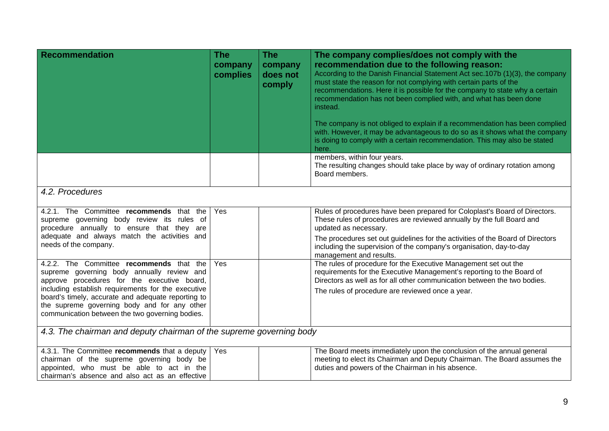| <b>Recommendation</b>                                                                                                                                                                                                                                                                                                                                | <b>The</b><br>company<br>complies | <b>The</b><br>company<br>does not<br>comply | The company complies/does not comply with the<br>recommendation due to the following reason:<br>According to the Danish Financial Statement Act sec.107b (1)(3), the company<br>must state the reason for not complying with certain parts of the<br>recommendations. Here it is possible for the company to state why a certain<br>recommendation has not been complied with, and what has been done<br>instead.<br>The company is not obliged to explain if a recommendation has been complied<br>with. However, it may be advantageous to do so as it shows what the company<br>is doing to comply with a certain recommendation. This may also be stated<br>here. |  |  |
|------------------------------------------------------------------------------------------------------------------------------------------------------------------------------------------------------------------------------------------------------------------------------------------------------------------------------------------------------|-----------------------------------|---------------------------------------------|-----------------------------------------------------------------------------------------------------------------------------------------------------------------------------------------------------------------------------------------------------------------------------------------------------------------------------------------------------------------------------------------------------------------------------------------------------------------------------------------------------------------------------------------------------------------------------------------------------------------------------------------------------------------------|--|--|
|                                                                                                                                                                                                                                                                                                                                                      |                                   |                                             | members, within four years.<br>The resulting changes should take place by way of ordinary rotation among<br>Board members.                                                                                                                                                                                                                                                                                                                                                                                                                                                                                                                                            |  |  |
| 4.2. Procedures                                                                                                                                                                                                                                                                                                                                      |                                   |                                             |                                                                                                                                                                                                                                                                                                                                                                                                                                                                                                                                                                                                                                                                       |  |  |
| 4.2.1. The Committee recommends that the<br>supreme governing body review its rules of<br>procedure annually to ensure that they are<br>adequate and always match the activities and<br>needs of the company.                                                                                                                                        | Yes                               |                                             | Rules of procedures have been prepared for Coloplast's Board of Directors.<br>These rules of procedures are reviewed annually by the full Board and<br>updated as necessary.<br>The procedures set out guidelines for the activities of the Board of Directors<br>including the supervision of the company's organisation, day-to-day<br>management and results.                                                                                                                                                                                                                                                                                                      |  |  |
| 4.2.2. The Committee recommends that the<br>supreme governing body annually review and<br>approve procedures for the executive board,<br>including establish requirements for the executive<br>board's timely, accurate and adequate reporting to<br>the supreme governing body and for any other<br>communication between the two governing bodies. | Yes                               |                                             | The rules of procedure for the Executive Management set out the<br>requirements for the Executive Management's reporting to the Board of<br>Directors as well as for all other communication between the two bodies.<br>The rules of procedure are reviewed once a year.                                                                                                                                                                                                                                                                                                                                                                                              |  |  |
| 4.3. The chairman and deputy chairman of the supreme governing body                                                                                                                                                                                                                                                                                  |                                   |                                             |                                                                                                                                                                                                                                                                                                                                                                                                                                                                                                                                                                                                                                                                       |  |  |
| 4.3.1. The Committee recommends that a deputy<br>chairman of the supreme governing body be<br>appointed, who must be able to act in the<br>chairman's absence and also act as an effective                                                                                                                                                           | Yes                               |                                             | The Board meets immediately upon the conclusion of the annual general<br>meeting to elect its Chairman and Deputy Chairman. The Board assumes the<br>duties and powers of the Chairman in his absence.                                                                                                                                                                                                                                                                                                                                                                                                                                                                |  |  |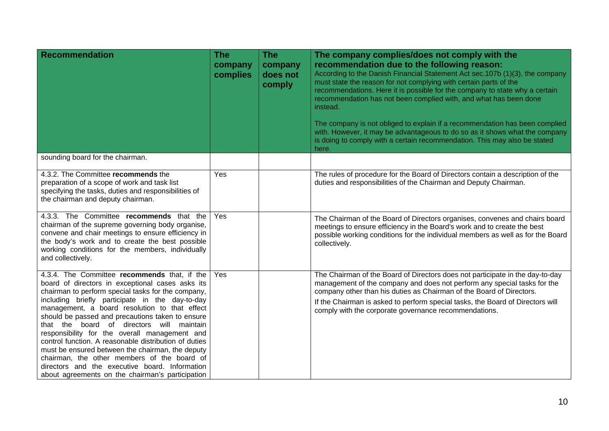| <b>Recommendation</b>                                                                                                                                                                                                                                                                                                                                                                                                                                                                                                                                                                                                                                                          | <b>The</b><br>company<br>complies | <b>The</b><br>company<br>does not<br>comply | The company complies/does not comply with the<br>recommendation due to the following reason:<br>According to the Danish Financial Statement Act sec. 107b (1)(3), the company<br>must state the reason for not complying with certain parts of the<br>recommendations. Here it is possible for the company to state why a certain<br>recommendation has not been complied with, and what has been done<br>instead.<br>The company is not obliged to explain if a recommendation has been complied<br>with. However, it may be advantageous to do so as it shows what the company<br>is doing to comply with a certain recommendation. This may also be stated<br>here. |
|--------------------------------------------------------------------------------------------------------------------------------------------------------------------------------------------------------------------------------------------------------------------------------------------------------------------------------------------------------------------------------------------------------------------------------------------------------------------------------------------------------------------------------------------------------------------------------------------------------------------------------------------------------------------------------|-----------------------------------|---------------------------------------------|------------------------------------------------------------------------------------------------------------------------------------------------------------------------------------------------------------------------------------------------------------------------------------------------------------------------------------------------------------------------------------------------------------------------------------------------------------------------------------------------------------------------------------------------------------------------------------------------------------------------------------------------------------------------|
| sounding board for the chairman.                                                                                                                                                                                                                                                                                                                                                                                                                                                                                                                                                                                                                                               |                                   |                                             |                                                                                                                                                                                                                                                                                                                                                                                                                                                                                                                                                                                                                                                                        |
| 4.3.2. The Committee recommends the<br>preparation of a scope of work and task list<br>specifying the tasks, duties and responsibilities of<br>the chairman and deputy chairman.                                                                                                                                                                                                                                                                                                                                                                                                                                                                                               | Yes                               |                                             | The rules of procedure for the Board of Directors contain a description of the<br>duties and responsibilities of the Chairman and Deputy Chairman.                                                                                                                                                                                                                                                                                                                                                                                                                                                                                                                     |
| 4.3.3. The Committee recommends that the<br>chairman of the supreme governing body organise,<br>convene and chair meetings to ensure efficiency in<br>the body's work and to create the best possible<br>working conditions for the members, individually<br>and collectively.                                                                                                                                                                                                                                                                                                                                                                                                 | Yes                               |                                             | The Chairman of the Board of Directors organises, convenes and chairs board<br>meetings to ensure efficiency in the Board's work and to create the best<br>possible working conditions for the individual members as well as for the Board<br>collectively.                                                                                                                                                                                                                                                                                                                                                                                                            |
| 4.3.4. The Committee recommends that, if the<br>board of directors in exceptional cases asks its<br>chairman to perform special tasks for the company,<br>including briefly participate in the day-to-day<br>management, a board resolution to that effect<br>should be passed and precautions taken to ensure<br>that the board of directors will maintain<br>responsibility for the overall management and<br>control function. A reasonable distribution of duties<br>must be ensured between the chairman, the deputy<br>chairman, the other members of the board of<br>directors and the executive board. Information<br>about agreements on the chairman's participation | Yes                               |                                             | The Chairman of the Board of Directors does not participate in the day-to-day<br>management of the company and does not perform any special tasks for the<br>company other than his duties as Chairman of the Board of Directors.<br>If the Chairman is asked to perform special tasks, the Board of Directors will<br>comply with the corporate governance recommendations.                                                                                                                                                                                                                                                                                           |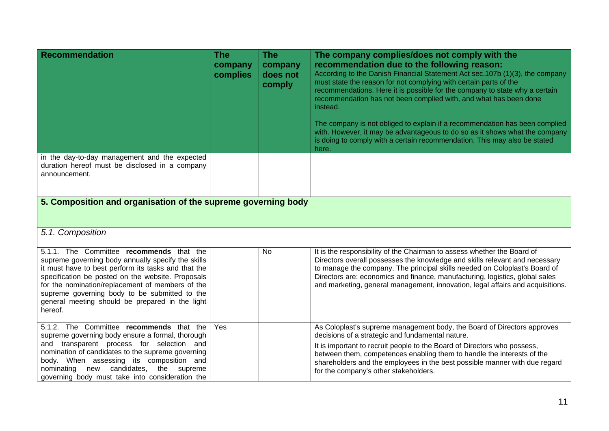| Recommendation                                                                                                                                                                                                                                                                                                                                                                | The<br>company<br>complies | <b>The</b><br>company<br>does not<br>comply | The company complies/does not comply with the<br>recommendation due to the following reason:<br>According to the Danish Financial Statement Act sec.107b (1)(3), the company<br>must state the reason for not complying with certain parts of the<br>recommendations. Here it is possible for the company to state why a certain<br>recommendation has not been complied with, and what has been done<br>instead.<br>The company is not obliged to explain if a recommendation has been complied<br>with. However, it may be advantageous to do so as it shows what the company<br>is doing to comply with a certain recommendation. This may also be stated<br>here. |
|-------------------------------------------------------------------------------------------------------------------------------------------------------------------------------------------------------------------------------------------------------------------------------------------------------------------------------------------------------------------------------|----------------------------|---------------------------------------------|-----------------------------------------------------------------------------------------------------------------------------------------------------------------------------------------------------------------------------------------------------------------------------------------------------------------------------------------------------------------------------------------------------------------------------------------------------------------------------------------------------------------------------------------------------------------------------------------------------------------------------------------------------------------------|
| in the day-to-day management and the expected<br>duration hereof must be disclosed in a company<br>announcement.                                                                                                                                                                                                                                                              |                            |                                             |                                                                                                                                                                                                                                                                                                                                                                                                                                                                                                                                                                                                                                                                       |
| 5. Composition and organisation of the supreme governing body                                                                                                                                                                                                                                                                                                                 |                            |                                             |                                                                                                                                                                                                                                                                                                                                                                                                                                                                                                                                                                                                                                                                       |
| 5.1. Composition                                                                                                                                                                                                                                                                                                                                                              |                            |                                             |                                                                                                                                                                                                                                                                                                                                                                                                                                                                                                                                                                                                                                                                       |
| 5.1.1. The Committee recommends that the<br>supreme governing body annually specify the skills<br>it must have to best perform its tasks and that the<br>specification be posted on the website. Proposals<br>for the nomination/replacement of members of the<br>supreme governing body to be submitted to the<br>general meeting should be prepared in the light<br>hereof. |                            | <b>No</b>                                   | It is the responsibility of the Chairman to assess whether the Board of<br>Directors overall possesses the knowledge and skills relevant and necessary<br>to manage the company. The principal skills needed on Coloplast's Board of<br>Directors are: economics and finance, manufacturing, logistics, global sales<br>and marketing, general management, innovation, legal affairs and acquisitions.                                                                                                                                                                                                                                                                |
| 5.1.2. The Committee recommends that the<br>supreme governing body ensure a formal, thorough<br>and transparent process for selection and<br>nomination of candidates to the supreme governing<br>body. When assessing its composition and<br>nominating new candidates, the supreme<br>governing body must take into consideration the                                       | Yes                        |                                             | As Coloplast's supreme management body, the Board of Directors approves<br>decisions of a strategic and fundamental nature.<br>It is important to recruit people to the Board of Directors who possess,<br>between them, competences enabling them to handle the interests of the<br>shareholders and the employees in the best possible manner with due regard<br>for the company's other stakeholders.                                                                                                                                                                                                                                                              |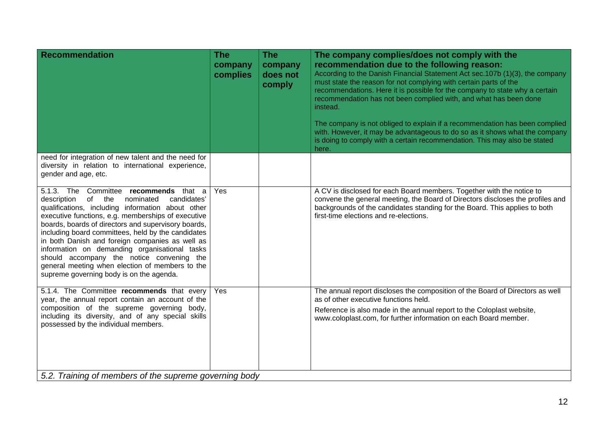| <b>Recommendation</b>                                                                                                                                                                                                                                                                                                                                                                                                                                                                                                                                                     | <b>The</b><br>company<br>complies | <b>The</b><br>company<br>does not<br>comply | The company complies/does not comply with the<br>recommendation due to the following reason:<br>According to the Danish Financial Statement Act sec.107b (1)(3), the company<br>must state the reason for not complying with certain parts of the<br>recommendations. Here it is possible for the company to state why a certain<br>recommendation has not been complied with, and what has been done<br>instead.<br>The company is not obliged to explain if a recommendation has been complied<br>with. However, it may be advantageous to do so as it shows what the company<br>is doing to comply with a certain recommendation. This may also be stated<br>here. |  |  |
|---------------------------------------------------------------------------------------------------------------------------------------------------------------------------------------------------------------------------------------------------------------------------------------------------------------------------------------------------------------------------------------------------------------------------------------------------------------------------------------------------------------------------------------------------------------------------|-----------------------------------|---------------------------------------------|-----------------------------------------------------------------------------------------------------------------------------------------------------------------------------------------------------------------------------------------------------------------------------------------------------------------------------------------------------------------------------------------------------------------------------------------------------------------------------------------------------------------------------------------------------------------------------------------------------------------------------------------------------------------------|--|--|
| need for integration of new talent and the need for<br>diversity in relation to international experience,<br>gender and age, etc.                                                                                                                                                                                                                                                                                                                                                                                                                                         |                                   |                                             |                                                                                                                                                                                                                                                                                                                                                                                                                                                                                                                                                                                                                                                                       |  |  |
| 5.1.3. The<br>Committee recommends that a<br>description<br>of<br>the<br>nominated<br>candidates'<br>qualifications, including information about other<br>executive functions, e.g. memberships of executive<br>boards, boards of directors and supervisory boards,<br>including board committees, held by the candidates<br>in both Danish and foreign companies as well as<br>information on demanding organisational tasks<br>should accompany the notice convening the<br>general meeting when election of members to the<br>supreme governing body is on the agenda. | Yes                               |                                             | A CV is disclosed for each Board members. Together with the notice to<br>convene the general meeting, the Board of Directors discloses the profiles and<br>backgrounds of the candidates standing for the Board. This applies to both<br>first-time elections and re-elections.                                                                                                                                                                                                                                                                                                                                                                                       |  |  |
| 5.1.4. The Committee recommends that every<br>year, the annual report contain an account of the<br>composition of the supreme governing body,<br>including its diversity, and of any special skills<br>possessed by the individual members.                                                                                                                                                                                                                                                                                                                               | Yes                               |                                             | The annual report discloses the composition of the Board of Directors as well<br>as of other executive functions held.<br>Reference is also made in the annual report to the Coloplast website,<br>www.coloplast.com, for further information on each Board member.                                                                                                                                                                                                                                                                                                                                                                                                   |  |  |
| 5.2. Training of members of the supreme governing body                                                                                                                                                                                                                                                                                                                                                                                                                                                                                                                    |                                   |                                             |                                                                                                                                                                                                                                                                                                                                                                                                                                                                                                                                                                                                                                                                       |  |  |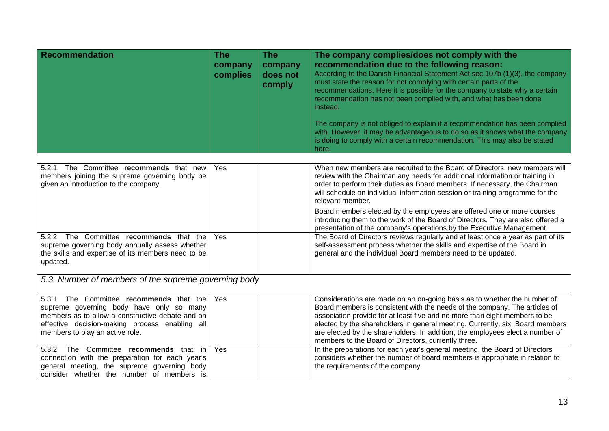| <b>Recommendation</b>                                                                                                                                                                                                         | <b>The</b><br>company<br>complies | <b>The</b><br>company<br>does not<br>comply | The company complies/does not comply with the<br>recommendation due to the following reason:<br>According to the Danish Financial Statement Act sec. 107b (1)(3), the company<br>must state the reason for not complying with certain parts of the<br>recommendations. Here it is possible for the company to state why a certain<br>recommendation has not been complied with, and what has been done<br>instead.<br>The company is not obliged to explain if a recommendation has been complied<br>with. However, it may be advantageous to do so as it shows what the company |
|-------------------------------------------------------------------------------------------------------------------------------------------------------------------------------------------------------------------------------|-----------------------------------|---------------------------------------------|----------------------------------------------------------------------------------------------------------------------------------------------------------------------------------------------------------------------------------------------------------------------------------------------------------------------------------------------------------------------------------------------------------------------------------------------------------------------------------------------------------------------------------------------------------------------------------|
|                                                                                                                                                                                                                               |                                   |                                             | is doing to comply with a certain recommendation. This may also be stated<br>here.                                                                                                                                                                                                                                                                                                                                                                                                                                                                                               |
| 5.2.1. The Committee recommends that new<br>members joining the supreme governing body be<br>given an introduction to the company.                                                                                            | Yes                               |                                             | When new members are recruited to the Board of Directors, new members will<br>review with the Chairman any needs for additional information or training in<br>order to perform their duties as Board members. If necessary, the Chairman<br>will schedule an individual information session or training programme for the<br>relevant member.                                                                                                                                                                                                                                    |
|                                                                                                                                                                                                                               |                                   |                                             | Board members elected by the employees are offered one or more courses<br>introducing them to the work of the Board of Directors. They are also offered a<br>presentation of the company's operations by the Executive Management.                                                                                                                                                                                                                                                                                                                                               |
| 5.2.2. The Committee recommends that the<br>supreme governing body annually assess whether<br>the skills and expertise of its members need to be<br>updated.                                                                  | Yes                               |                                             | The Board of Directors reviews regularly and at least once a year as part of its<br>self-assessment process whether the skills and expertise of the Board in<br>general and the individual Board members need to be updated.                                                                                                                                                                                                                                                                                                                                                     |
| 5.3. Number of members of the supreme governing body                                                                                                                                                                          |                                   |                                             |                                                                                                                                                                                                                                                                                                                                                                                                                                                                                                                                                                                  |
| 5.3.1. The Committee recommends that the<br>supreme governing body have only so many<br>members as to allow a constructive debate and an<br>effective decision-making process enabling all<br>members to play an active role. | Yes                               |                                             | Considerations are made on an on-going basis as to whether the number of<br>Board members is consistent with the needs of the company. The articles of<br>association provide for at least five and no more than eight members to be<br>elected by the shareholders in general meeting. Currently, six Board members<br>are elected by the shareholders. In addition, the employees elect a number of<br>members to the Board of Directors, currently three.                                                                                                                     |
| 5.3.2. The Committee recommends that in<br>connection with the preparation for each year's<br>general meeting, the supreme governing body<br>consider whether the number of members is                                        | Yes                               |                                             | In the preparations for each year's general meeting, the Board of Directors<br>considers whether the number of board members is appropriate in relation to<br>the requirements of the company.                                                                                                                                                                                                                                                                                                                                                                                   |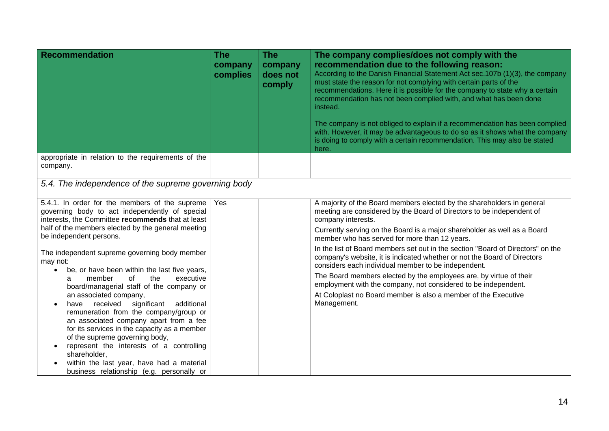| <b>Recommendation</b>                                                                                                                                                                                                                                                                                                                                                                                                                                                                                                                                                                                                                                                                                                                                                                                                                                                     | <b>The</b><br>company<br>complies | The<br>company<br>does not<br>comply | The company complies/does not comply with the<br>recommendation due to the following reason:<br>According to the Danish Financial Statement Act sec.107b (1)(3), the company<br>must state the reason for not complying with certain parts of the<br>recommendations. Here it is possible for the company to state why a certain<br>recommendation has not been complied with, and what has been done<br>instead.<br>The company is not obliged to explain if a recommendation has been complied<br>with. However, it may be advantageous to do so as it shows what the company<br>is doing to comply with a certain recommendation. This may also be stated<br>here.                                                                             |
|---------------------------------------------------------------------------------------------------------------------------------------------------------------------------------------------------------------------------------------------------------------------------------------------------------------------------------------------------------------------------------------------------------------------------------------------------------------------------------------------------------------------------------------------------------------------------------------------------------------------------------------------------------------------------------------------------------------------------------------------------------------------------------------------------------------------------------------------------------------------------|-----------------------------------|--------------------------------------|---------------------------------------------------------------------------------------------------------------------------------------------------------------------------------------------------------------------------------------------------------------------------------------------------------------------------------------------------------------------------------------------------------------------------------------------------------------------------------------------------------------------------------------------------------------------------------------------------------------------------------------------------------------------------------------------------------------------------------------------------|
| appropriate in relation to the requirements of the<br>company.                                                                                                                                                                                                                                                                                                                                                                                                                                                                                                                                                                                                                                                                                                                                                                                                            |                                   |                                      |                                                                                                                                                                                                                                                                                                                                                                                                                                                                                                                                                                                                                                                                                                                                                   |
| 5.4. The independence of the supreme governing body                                                                                                                                                                                                                                                                                                                                                                                                                                                                                                                                                                                                                                                                                                                                                                                                                       |                                   |                                      |                                                                                                                                                                                                                                                                                                                                                                                                                                                                                                                                                                                                                                                                                                                                                   |
| 5.4.1. In order for the members of the supreme<br>governing body to act independently of special<br>interests, the Committee recommends that at least<br>half of the members elected by the general meeting<br>be independent persons.<br>The independent supreme governing body member<br>may not:<br>be, or have been within the last five years,<br>$\bullet$<br>the<br>executive<br>member<br>of<br>a<br>board/managerial staff of the company or<br>an associated company,<br>received<br>significant<br>additional<br>have<br>$\bullet$<br>remuneration from the company/group or<br>an associated company apart from a fee<br>for its services in the capacity as a member<br>of the supreme governing body,<br>represent the interests of a controlling<br>shareholder,<br>within the last year, have had a material<br>business relationship (e.g. personally or | Yes                               |                                      | A majority of the Board members elected by the shareholders in general<br>meeting are considered by the Board of Directors to be independent of<br>company interests.<br>Currently serving on the Board is a major shareholder as well as a Board<br>member who has served for more than 12 years.<br>In the list of Board members set out in the section "Board of Directors" on the<br>company's website, it is indicated whether or not the Board of Directors<br>considers each individual member to be independent.<br>The Board members elected by the employees are, by virtue of their<br>employment with the company, not considered to be independent.<br>At Coloplast no Board member is also a member of the Executive<br>Management. |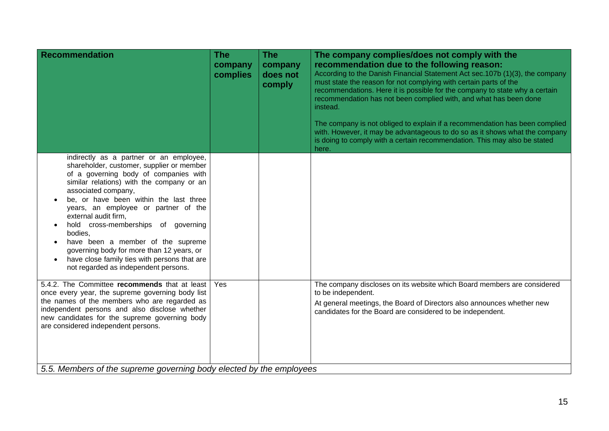| <b>Recommendation</b>                                                                                                                                                                                                                                                                                                                                                                                                                                                                                                                   | <b>The</b><br>company<br>complies | <b>The</b><br>company<br>does not<br>comply | The company complies/does not comply with the<br>recommendation due to the following reason:<br>According to the Danish Financial Statement Act sec.107b (1)(3), the company<br>must state the reason for not complying with certain parts of the<br>recommendations. Here it is possible for the company to state why a certain<br>recommendation has not been complied with, and what has been done<br>instead.<br>The company is not obliged to explain if a recommendation has been complied<br>with. However, it may be advantageous to do so as it shows what the company<br>is doing to comply with a certain recommendation. This may also be stated<br>here. |
|-----------------------------------------------------------------------------------------------------------------------------------------------------------------------------------------------------------------------------------------------------------------------------------------------------------------------------------------------------------------------------------------------------------------------------------------------------------------------------------------------------------------------------------------|-----------------------------------|---------------------------------------------|-----------------------------------------------------------------------------------------------------------------------------------------------------------------------------------------------------------------------------------------------------------------------------------------------------------------------------------------------------------------------------------------------------------------------------------------------------------------------------------------------------------------------------------------------------------------------------------------------------------------------------------------------------------------------|
| indirectly as a partner or an employee,<br>shareholder, customer, supplier or member<br>of a governing body of companies with<br>similar relations) with the company or an<br>associated company,<br>be, or have been within the last three<br>years, an employee or partner of the<br>external audit firm,<br>hold cross-memberships of governing<br>bodies,<br>have been a member of the supreme<br>governing body for more than 12 years, or<br>have close family ties with persons that are<br>not regarded as independent persons. |                                   |                                             |                                                                                                                                                                                                                                                                                                                                                                                                                                                                                                                                                                                                                                                                       |
| 5.4.2. The Committee recommends that at least<br>once every year, the supreme governing body list<br>the names of the members who are regarded as<br>independent persons and also disclose whether<br>new candidates for the supreme governing body<br>are considered independent persons.<br>5.5. Members of the supreme governing body elected by the employees                                                                                                                                                                       | Yes                               |                                             | The company discloses on its website which Board members are considered<br>to be independent.<br>At general meetings, the Board of Directors also announces whether new<br>candidates for the Board are considered to be independent.                                                                                                                                                                                                                                                                                                                                                                                                                                 |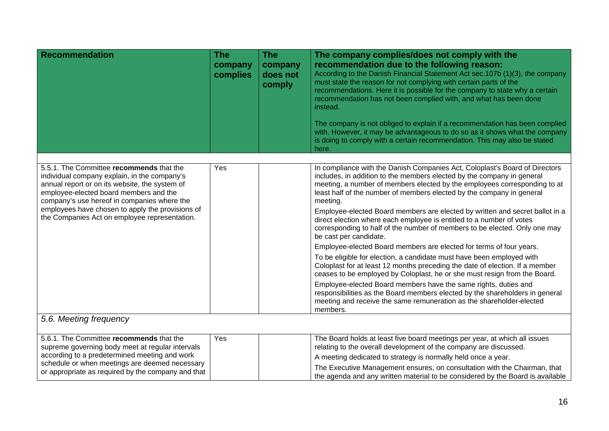| <b>Recommendation</b>                                                                                                                                                                                                                                                                                                                    | <b>The</b><br>company<br>complies | <b>The</b><br>company<br>does not<br>comply | The company complies/does not comply with the<br>recommendation due to the following reason:<br>According to the Danish Financial Statement Act sec.107b (1)(3), the company<br>must state the reason for not complying with certain parts of the<br>recommendations. Here it is possible for the company to state why a certain<br>recommendation has not been complied with, and what has been done<br>instead.<br>The company is not obliged to explain if a recommendation has been complied<br>with. However, it may be advantageous to do so as it shows what the company<br>is doing to comply with a certain recommendation. This may also be stated<br>here.                                                                                                                                                                                                                                                                                                                                                                                                                                                                       |
|------------------------------------------------------------------------------------------------------------------------------------------------------------------------------------------------------------------------------------------------------------------------------------------------------------------------------------------|-----------------------------------|---------------------------------------------|---------------------------------------------------------------------------------------------------------------------------------------------------------------------------------------------------------------------------------------------------------------------------------------------------------------------------------------------------------------------------------------------------------------------------------------------------------------------------------------------------------------------------------------------------------------------------------------------------------------------------------------------------------------------------------------------------------------------------------------------------------------------------------------------------------------------------------------------------------------------------------------------------------------------------------------------------------------------------------------------------------------------------------------------------------------------------------------------------------------------------------------------|
| 5.5.1. The Committee recommends that the<br>individual company explain, in the company's<br>annual report or on its website, the system of<br>employee-elected board members and the<br>company's use hereof in companies where the<br>employees have chosen to apply the provisions of<br>the Companies Act on employee representation. | Yes                               |                                             | In compliance with the Danish Companies Act, Coloplast's Board of Directors<br>includes, in addition to the members elected by the company in general<br>meeting, a number of members elected by the employees corresponding to at<br>least half of the number of members elected by the company in general<br>meeting.<br>Employee-elected Board members are elected by written and secret ballot in a<br>direct election where each employee is entitled to a number of votes<br>corresponding to half of the number of members to be elected. Only one may<br>be cast per candidate.<br>Employee-elected Board members are elected for terms of four years.<br>To be eligible for election, a candidate must have been employed with<br>Coloplast for at least 12 months preceding the date of election. If a member<br>ceases to be employed by Coloplast, he or she must resign from the Board.<br>Employee-elected Board members have the same rights, duties and<br>responsibilities as the Board members elected by the shareholders in general<br>meeting and receive the same remuneration as the shareholder-elected<br>members. |
| 5.6. Meeting frequency                                                                                                                                                                                                                                                                                                                   |                                   |                                             |                                                                                                                                                                                                                                                                                                                                                                                                                                                                                                                                                                                                                                                                                                                                                                                                                                                                                                                                                                                                                                                                                                                                             |
| 5.6.1. The Committee recommends that the<br>supreme governing body meet at regular intervals                                                                                                                                                                                                                                             | Yes                               |                                             | The Board holds at least five board meetings per year, at which all issues<br>relating to the overall development of the company are discussed.                                                                                                                                                                                                                                                                                                                                                                                                                                                                                                                                                                                                                                                                                                                                                                                                                                                                                                                                                                                             |
| according to a predetermined meeting and work<br>schedule or when meetings are deemed necessary                                                                                                                                                                                                                                          |                                   |                                             | A meeting dedicated to strategy is normally held once a year.                                                                                                                                                                                                                                                                                                                                                                                                                                                                                                                                                                                                                                                                                                                                                                                                                                                                                                                                                                                                                                                                               |
| or appropriate as required by the company and that                                                                                                                                                                                                                                                                                       |                                   |                                             | The Executive Management ensures, on consultation with the Chairman, that<br>the agenda and any written material to be considered by the Board is available                                                                                                                                                                                                                                                                                                                                                                                                                                                                                                                                                                                                                                                                                                                                                                                                                                                                                                                                                                                 |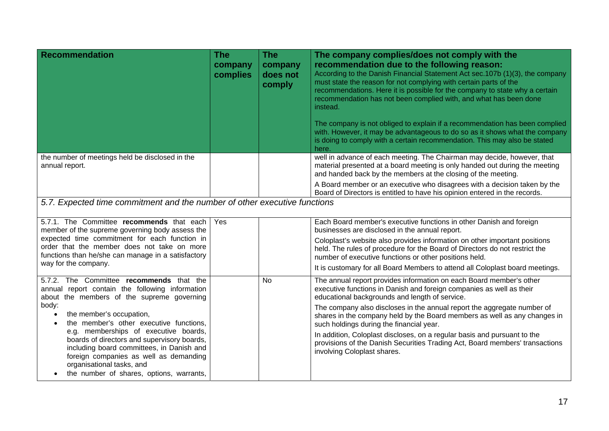| <b>Recommendation</b>                                                                                                                                                                                                                                | <b>The</b><br>company<br>complies | <b>The</b><br>company<br>does not<br>comply                                                                                                                                                      | The company complies/does not comply with the<br>recommendation due to the following reason:<br>According to the Danish Financial Statement Act sec.107b (1)(3), the company<br>must state the reason for not complying with certain parts of the<br>recommendations. Here it is possible for the company to state why a certain<br>recommendation has not been complied with, and what has been done<br>instead.<br>The company is not obliged to explain if a recommendation has been complied<br>with. However, it may be advantageous to do so as it shows what the company<br>is doing to comply with a certain recommendation. This may also be stated<br>here. |
|------------------------------------------------------------------------------------------------------------------------------------------------------------------------------------------------------------------------------------------------------|-----------------------------------|--------------------------------------------------------------------------------------------------------------------------------------------------------------------------------------------------|-----------------------------------------------------------------------------------------------------------------------------------------------------------------------------------------------------------------------------------------------------------------------------------------------------------------------------------------------------------------------------------------------------------------------------------------------------------------------------------------------------------------------------------------------------------------------------------------------------------------------------------------------------------------------|
| the number of meetings held be disclosed in the<br>annual report.                                                                                                                                                                                    |                                   |                                                                                                                                                                                                  | well in advance of each meeting. The Chairman may decide, however, that<br>material presented at a board meeting is only handed out during the meeting<br>and handed back by the members at the closing of the meeting.                                                                                                                                                                                                                                                                                                                                                                                                                                               |
|                                                                                                                                                                                                                                                      |                                   |                                                                                                                                                                                                  | A Board member or an executive who disagrees with a decision taken by the<br>Board of Directors is entitled to have his opinion entered in the records.                                                                                                                                                                                                                                                                                                                                                                                                                                                                                                               |
| 5.7. Expected time commitment and the number of other executive functions                                                                                                                                                                            |                                   |                                                                                                                                                                                                  |                                                                                                                                                                                                                                                                                                                                                                                                                                                                                                                                                                                                                                                                       |
| 5.7.1. The Committee recommends that each<br>member of the supreme governing body assess the                                                                                                                                                         | Yes                               |                                                                                                                                                                                                  | Each Board member's executive functions in other Danish and foreign<br>businesses are disclosed in the annual report.                                                                                                                                                                                                                                                                                                                                                                                                                                                                                                                                                 |
| expected time commitment for each function in<br>order that the member does not take on more<br>functions than he/she can manage in a satisfactory                                                                                                   |                                   |                                                                                                                                                                                                  | Coloplast's website also provides information on other important positions<br>held. The rules of procedure for the Board of Directors do not restrict the<br>number of executive functions or other positions held.                                                                                                                                                                                                                                                                                                                                                                                                                                                   |
| way for the company.                                                                                                                                                                                                                                 |                                   |                                                                                                                                                                                                  | It is customary for all Board Members to attend all Coloplast board meetings.                                                                                                                                                                                                                                                                                                                                                                                                                                                                                                                                                                                         |
| 5.7.2. The Committee recommends that the<br>annual report contain the following information<br>about the members of the supreme governing                                                                                                            |                                   | No                                                                                                                                                                                               | The annual report provides information on each Board member's other<br>executive functions in Danish and foreign companies as well as their<br>educational backgrounds and length of service.                                                                                                                                                                                                                                                                                                                                                                                                                                                                         |
| body:<br>the member's occupation,<br>$\bullet$<br>the member's other executive functions,                                                                                                                                                            |                                   | The company also discloses in the annual report the aggregate number of<br>shares in the company held by the Board members as well as any changes in<br>such holdings during the financial year. |                                                                                                                                                                                                                                                                                                                                                                                                                                                                                                                                                                                                                                                                       |
| e.g. memberships of executive boards,<br>boards of directors and supervisory boards,<br>including board committees, in Danish and<br>foreign companies as well as demanding<br>organisational tasks, and<br>the number of shares, options, warrants, |                                   |                                                                                                                                                                                                  | In addition, Coloplast discloses, on a regular basis and pursuant to the<br>provisions of the Danish Securities Trading Act, Board members' transactions<br>involving Coloplast shares.                                                                                                                                                                                                                                                                                                                                                                                                                                                                               |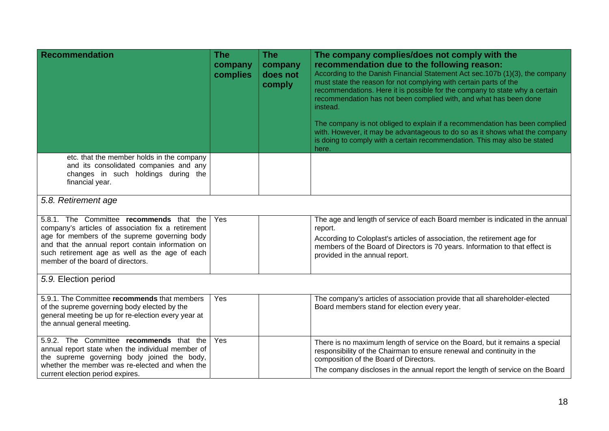| <b>Recommendation</b>                                                                                                                                                                                                                                                                       | <b>The</b><br>company<br>complies | <b>The</b><br>company<br>does not<br>comply | The company complies/does not comply with the<br>recommendation due to the following reason:<br>According to the Danish Financial Statement Act sec.107b (1)(3), the company<br>must state the reason for not complying with certain parts of the<br>recommendations. Here it is possible for the company to state why a certain<br>recommendation has not been complied with, and what has been done<br>instead.<br>The company is not obliged to explain if a recommendation has been complied<br>with. However, it may be advantageous to do so as it shows what the company<br>is doing to comply with a certain recommendation. This may also be stated<br>here. |
|---------------------------------------------------------------------------------------------------------------------------------------------------------------------------------------------------------------------------------------------------------------------------------------------|-----------------------------------|---------------------------------------------|-----------------------------------------------------------------------------------------------------------------------------------------------------------------------------------------------------------------------------------------------------------------------------------------------------------------------------------------------------------------------------------------------------------------------------------------------------------------------------------------------------------------------------------------------------------------------------------------------------------------------------------------------------------------------|
| etc. that the member holds in the company<br>and its consolidated companies and any<br>changes in such holdings during the<br>financial year.                                                                                                                                               |                                   |                                             |                                                                                                                                                                                                                                                                                                                                                                                                                                                                                                                                                                                                                                                                       |
| 5.8. Retirement age                                                                                                                                                                                                                                                                         |                                   |                                             |                                                                                                                                                                                                                                                                                                                                                                                                                                                                                                                                                                                                                                                                       |
| 5.8.1. The Committee recommends that the<br>company's articles of association fix a retirement<br>age for members of the supreme governing body<br>and that the annual report contain information on<br>such retirement age as well as the age of each<br>member of the board of directors. | Yes                               |                                             | The age and length of service of each Board member is indicated in the annual<br>report.<br>According to Coloplast's articles of association, the retirement age for<br>members of the Board of Directors is 70 years. Information to that effect is<br>provided in the annual report.                                                                                                                                                                                                                                                                                                                                                                                |
| 5.9. Election period                                                                                                                                                                                                                                                                        |                                   |                                             |                                                                                                                                                                                                                                                                                                                                                                                                                                                                                                                                                                                                                                                                       |
| 5.9.1. The Committee recommends that members<br>of the supreme governing body elected by the<br>general meeting be up for re-election every year at<br>the annual general meeting.                                                                                                          | Yes                               |                                             | The company's articles of association provide that all shareholder-elected<br>Board members stand for election every year.                                                                                                                                                                                                                                                                                                                                                                                                                                                                                                                                            |
| 5.9.2. The Committee recommends that the<br>annual report state when the individual member of<br>the supreme governing body joined the body,<br>whether the member was re-elected and when the<br>current election period expires.                                                          | Yes                               |                                             | There is no maximum length of service on the Board, but it remains a special<br>responsibility of the Chairman to ensure renewal and continuity in the<br>composition of the Board of Directors.<br>The company discloses in the annual report the length of service on the Board                                                                                                                                                                                                                                                                                                                                                                                     |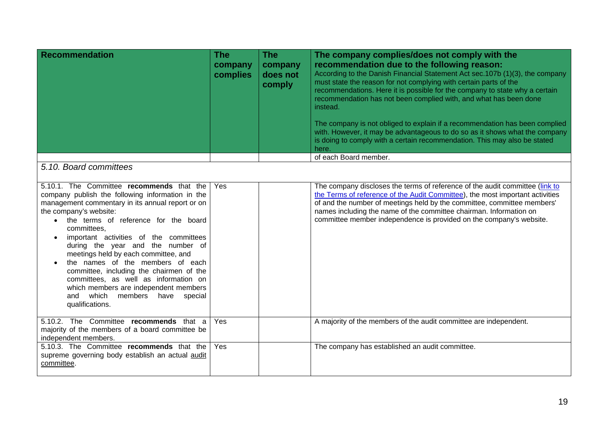| <b>Recommendation</b> | <b>The</b><br>company<br>complies | <b>The</b><br>company<br>does not<br>comply | The company complies/does not comply with the<br>recommendation due to the following reason:<br>According to the Danish Financial Statement Act sec.107b (1)(3), the company<br>must state the reason for not complying with certain parts of the<br>recommendations. Here it is possible for the company to state why a certain<br>recommendation has not been complied with, and what has been done<br>instead.<br>The company is not obliged to explain if a recommendation has been complied<br>with. However, it may be advantageous to do so as it shows what the company<br>is doing to comply with a certain recommendation. This may also be stated<br>here. |
|-----------------------|-----------------------------------|---------------------------------------------|-----------------------------------------------------------------------------------------------------------------------------------------------------------------------------------------------------------------------------------------------------------------------------------------------------------------------------------------------------------------------------------------------------------------------------------------------------------------------------------------------------------------------------------------------------------------------------------------------------------------------------------------------------------------------|
|                       |                                   |                                             | of each Board member.                                                                                                                                                                                                                                                                                                                                                                                                                                                                                                                                                                                                                                                 |

## *5.10. Board committees*

| 5.10.1. The Committee recommends that the<br>company publish the following information in the<br>management commentary in its annual report or on<br>the company's website:<br>the terms of reference for the board<br>committees.<br>important activities of the committees<br>during the year and the number of<br>meetings held by each committee, and<br>the names of the members of each<br>committee, including the chairmen of the<br>committees, as well as information on<br>which members are independent members<br>which members have special<br>and<br>qualifications. | Yes  | The company discloses the terms of reference of the audit committee (link to<br>the Terms of reference of the Audit Committee), the most important activities<br>of and the number of meetings held by the committee, committee members'<br>names including the name of the committee chairman. Information on<br>committee member independence is provided on the company's website. |
|-------------------------------------------------------------------------------------------------------------------------------------------------------------------------------------------------------------------------------------------------------------------------------------------------------------------------------------------------------------------------------------------------------------------------------------------------------------------------------------------------------------------------------------------------------------------------------------|------|---------------------------------------------------------------------------------------------------------------------------------------------------------------------------------------------------------------------------------------------------------------------------------------------------------------------------------------------------------------------------------------|
| 5.10.2. The Committee recommends that a<br>majority of the members of a board committee be<br>independent members.                                                                                                                                                                                                                                                                                                                                                                                                                                                                  | Yes. | A majority of the members of the audit committee are independent.                                                                                                                                                                                                                                                                                                                     |
| 5.10.3. The Committee recommends that the<br>supreme governing body establish an actual audit<br>committee.                                                                                                                                                                                                                                                                                                                                                                                                                                                                         | Yes  | The company has established an audit committee.                                                                                                                                                                                                                                                                                                                                       |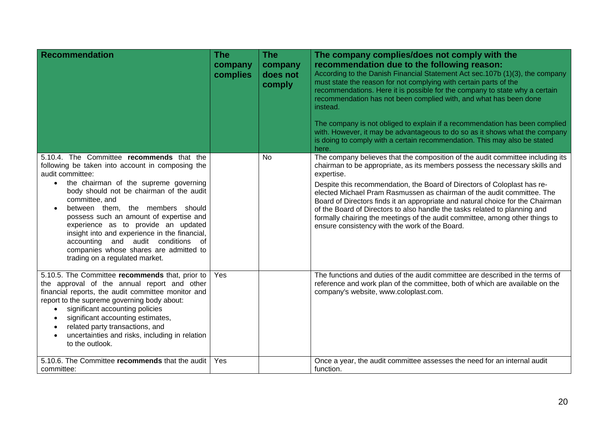| <b>Recommendation</b>                                                                                                                                                                                                                                                                                                                                                                                                                                                                                                                          | <b>The</b><br>company<br>complies | <b>The</b><br>company<br>does not<br>comply | The company complies/does not comply with the<br>recommendation due to the following reason:<br>According to the Danish Financial Statement Act sec. 107b (1)(3), the company<br>must state the reason for not complying with certain parts of the<br>recommendations. Here it is possible for the company to state why a certain<br>recommendation has not been complied with, and what has been done<br>instead.<br>The company is not obliged to explain if a recommendation has been complied<br>with. However, it may be advantageous to do so as it shows what the company<br>is doing to comply with a certain recommendation. This may also be stated<br>here. |
|------------------------------------------------------------------------------------------------------------------------------------------------------------------------------------------------------------------------------------------------------------------------------------------------------------------------------------------------------------------------------------------------------------------------------------------------------------------------------------------------------------------------------------------------|-----------------------------------|---------------------------------------------|------------------------------------------------------------------------------------------------------------------------------------------------------------------------------------------------------------------------------------------------------------------------------------------------------------------------------------------------------------------------------------------------------------------------------------------------------------------------------------------------------------------------------------------------------------------------------------------------------------------------------------------------------------------------|
| 5.10.4. The Committee recommends that the<br>following be taken into account in composing the<br>audit committee:<br>the chairman of the supreme governing<br>$\bullet$<br>body should not be chairman of the audit<br>committee, and<br>between them, the members should<br>$\bullet$<br>possess such an amount of expertise and<br>experience as to provide an updated<br>insight into and experience in the financial,<br>accounting and audit conditions<br>0f<br>companies whose shares are admitted to<br>trading on a regulated market. |                                   | <b>No</b>                                   | The company believes that the composition of the audit committee including its<br>chairman to be appropriate, as its members possess the necessary skills and<br>expertise.<br>Despite this recommendation, the Board of Directors of Coloplast has re-<br>elected Michael Pram Rasmussen as chairman of the audit committee. The<br>Board of Directors finds it an appropriate and natural choice for the Chairman<br>of the Board of Directors to also handle the tasks related to planning and<br>formally chairing the meetings of the audit committee, among other things to<br>ensure consistency with the work of the Board.                                    |
| 5.10.5. The Committee recommends that, prior to<br>the approval of the annual report and other<br>financial reports, the audit committee monitor and<br>report to the supreme governing body about:<br>significant accounting policies<br>$\bullet$<br>significant accounting estimates,<br>$\bullet$<br>related party transactions, and<br>$\bullet$<br>uncertainties and risks, including in relation<br>to the outlook.<br>5.10.6. The Committee recommends that the audit                                                                  | Yes<br><b>Yes</b>                 |                                             | The functions and duties of the audit committee are described in the terms of<br>reference and work plan of the committee, both of which are available on the<br>company's website, www.coloplast.com.<br>Once a year, the audit committee assesses the need for an internal audit                                                                                                                                                                                                                                                                                                                                                                                     |
| committee:                                                                                                                                                                                                                                                                                                                                                                                                                                                                                                                                     |                                   |                                             | function.                                                                                                                                                                                                                                                                                                                                                                                                                                                                                                                                                                                                                                                              |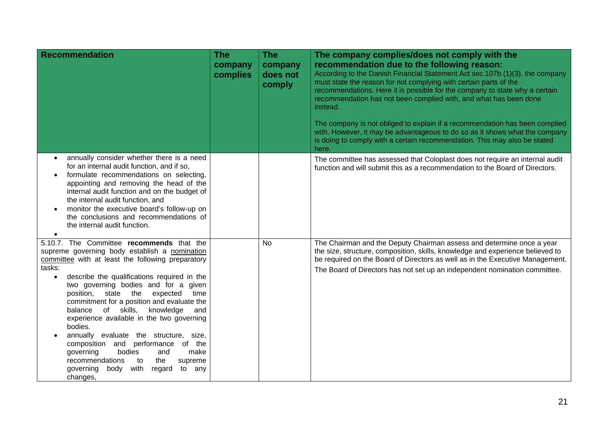| <b>Recommendation</b>                                                                                                                                                                                                                                                                                                                                                                                                                                                                                                                                                                                                                                                                           | <b>The</b><br>company<br>complies | <b>The</b><br>company<br>does not<br>comply | The company complies/does not comply with the<br>recommendation due to the following reason:<br>According to the Danish Financial Statement Act sec.107b (1)(3), the company<br>must state the reason for not complying with certain parts of the<br>recommendations. Here it is possible for the company to state why a certain<br>recommendation has not been complied with, and what has been done<br>instead.<br>The company is not obliged to explain if a recommendation has been complied<br>with. However, it may be advantageous to do so as it shows what the company<br>is doing to comply with a certain recommendation. This may also be stated<br>here. |
|-------------------------------------------------------------------------------------------------------------------------------------------------------------------------------------------------------------------------------------------------------------------------------------------------------------------------------------------------------------------------------------------------------------------------------------------------------------------------------------------------------------------------------------------------------------------------------------------------------------------------------------------------------------------------------------------------|-----------------------------------|---------------------------------------------|-----------------------------------------------------------------------------------------------------------------------------------------------------------------------------------------------------------------------------------------------------------------------------------------------------------------------------------------------------------------------------------------------------------------------------------------------------------------------------------------------------------------------------------------------------------------------------------------------------------------------------------------------------------------------|
| annually consider whether there is a need<br>for an internal audit function, and if so,<br>formulate recommendations on selecting,<br>appointing and removing the head of the<br>internal audit function and on the budget of<br>the internal audit function, and<br>monitor the executive board's follow-up on<br>the conclusions and recommendations of<br>the internal audit function.                                                                                                                                                                                                                                                                                                       |                                   |                                             | The committee has assessed that Coloplast does not require an internal audit<br>function and will submit this as a recommendation to the Board of Directors.                                                                                                                                                                                                                                                                                                                                                                                                                                                                                                          |
| 5.10.7. The Committee recommends that the<br>supreme governing body establish a nomination<br>committee with at least the following preparatory<br>tasks:<br>describe the qualifications required in the<br>$\bullet$<br>two governing bodies and for a given<br>position, state the<br>expected<br>time<br>commitment for a position and evaluate the<br>of skills,<br>knowledge<br>balance<br>and<br>experience available in the two governing<br>bodies.<br>annually evaluate the structure, size,<br>composition and<br>performance<br>of the<br>governing<br>bodies<br>make<br>and<br>recommendations<br>supreme<br>to<br>the<br>with<br>governing<br>body<br>regard<br>to any<br>changes, |                                   | <b>No</b>                                   | The Chairman and the Deputy Chairman assess and determine once a year<br>the size, structure, composition, skills, knowledge and experience believed to<br>be required on the Board of Directors as well as in the Executive Management.<br>The Board of Directors has not set up an independent nomination committee.                                                                                                                                                                                                                                                                                                                                                |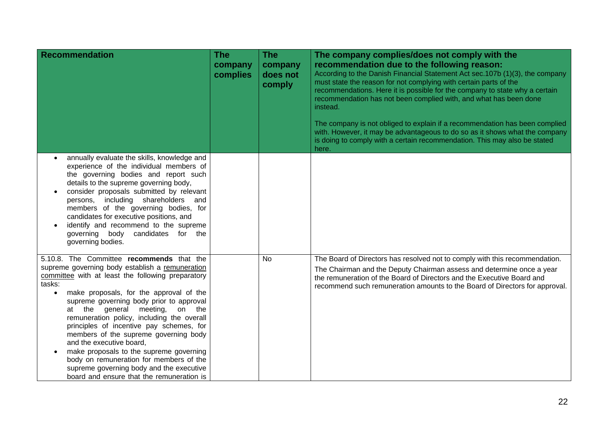| <b>Recommendation</b>                                                                                                                                                                                                                                                                                                                                                                                                                                                                                                                                                                                                                                        | <b>The</b><br>company<br>complies | <b>The</b><br>company<br>does not<br>comply | The company complies/does not comply with the<br>recommendation due to the following reason:<br>According to the Danish Financial Statement Act sec.107b (1)(3), the company<br>must state the reason for not complying with certain parts of the<br>recommendations. Here it is possible for the company to state why a certain<br>recommendation has not been complied with, and what has been done<br>instead.<br>The company is not obliged to explain if a recommendation has been complied<br>with. However, it may be advantageous to do so as it shows what the company<br>is doing to comply with a certain recommendation. This may also be stated<br>here. |
|--------------------------------------------------------------------------------------------------------------------------------------------------------------------------------------------------------------------------------------------------------------------------------------------------------------------------------------------------------------------------------------------------------------------------------------------------------------------------------------------------------------------------------------------------------------------------------------------------------------------------------------------------------------|-----------------------------------|---------------------------------------------|-----------------------------------------------------------------------------------------------------------------------------------------------------------------------------------------------------------------------------------------------------------------------------------------------------------------------------------------------------------------------------------------------------------------------------------------------------------------------------------------------------------------------------------------------------------------------------------------------------------------------------------------------------------------------|
| annually evaluate the skills, knowledge and<br>$\bullet$<br>experience of the individual members of<br>the governing bodies and report such<br>details to the supreme governing body,<br>consider proposals submitted by relevant<br>$\bullet$<br>persons, including shareholders and<br>members of the governing bodies, for<br>candidates for executive positions, and<br>identify and recommend to the supreme<br>governing body candidates for the<br>governing bodies.                                                                                                                                                                                  |                                   |                                             |                                                                                                                                                                                                                                                                                                                                                                                                                                                                                                                                                                                                                                                                       |
| 5.10.8. The Committee recommends that the<br>supreme governing body establish a remuneration<br>committee with at least the following preparatory<br>tasks:<br>make proposals, for the approval of the<br>$\bullet$<br>supreme governing body prior to approval<br>at the general meeting, on the<br>remuneration policy, including the overall<br>principles of incentive pay schemes, for<br>members of the supreme governing body<br>and the executive board,<br>make proposals to the supreme governing<br>$\bullet$<br>body on remuneration for members of the<br>supreme governing body and the executive<br>board and ensure that the remuneration is |                                   | No                                          | The Board of Directors has resolved not to comply with this recommendation.<br>The Chairman and the Deputy Chairman assess and determine once a year<br>the remuneration of the Board of Directors and the Executive Board and<br>recommend such remuneration amounts to the Board of Directors for approval.                                                                                                                                                                                                                                                                                                                                                         |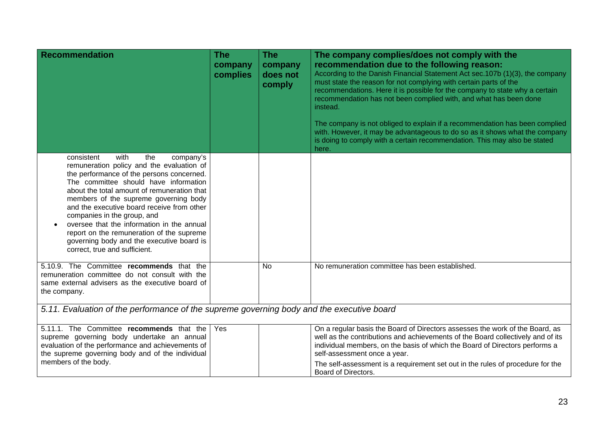| <b>Recommendation</b>                                                                                                                                                                                                                                                                                                                                                                                                                                                                                                                | <b>The</b><br>company<br>complies | <b>The</b><br>company<br>does not<br>comply | The company complies/does not comply with the<br>recommendation due to the following reason:<br>According to the Danish Financial Statement Act sec.107b (1)(3), the company<br>must state the reason for not complying with certain parts of the<br>recommendations. Here it is possible for the company to state why a certain<br>recommendation has not been complied with, and what has been done<br>instead.<br>The company is not obliged to explain if a recommendation has been complied<br>with. However, it may be advantageous to do so as it shows what the company<br>is doing to comply with a certain recommendation. This may also be stated<br>here. |  |
|--------------------------------------------------------------------------------------------------------------------------------------------------------------------------------------------------------------------------------------------------------------------------------------------------------------------------------------------------------------------------------------------------------------------------------------------------------------------------------------------------------------------------------------|-----------------------------------|---------------------------------------------|-----------------------------------------------------------------------------------------------------------------------------------------------------------------------------------------------------------------------------------------------------------------------------------------------------------------------------------------------------------------------------------------------------------------------------------------------------------------------------------------------------------------------------------------------------------------------------------------------------------------------------------------------------------------------|--|
| consistent<br>with<br>the<br>company's<br>remuneration policy and the evaluation of<br>the performance of the persons concerned.<br>The committee should have information<br>about the total amount of remuneration that<br>members of the supreme governing body<br>and the executive board receive from other<br>companies in the group, and<br>oversee that the information in the annual<br>$\bullet$<br>report on the remuneration of the supreme<br>governing body and the executive board is<br>correct, true and sufficient. |                                   |                                             |                                                                                                                                                                                                                                                                                                                                                                                                                                                                                                                                                                                                                                                                       |  |
| 5.10.9. The Committee recommends that the<br>remuneration committee do not consult with the<br>same external advisers as the executive board of<br>the company.                                                                                                                                                                                                                                                                                                                                                                      |                                   | No                                          | No remuneration committee has been established.                                                                                                                                                                                                                                                                                                                                                                                                                                                                                                                                                                                                                       |  |
| 5.11. Evaluation of the performance of the supreme governing body and the executive board                                                                                                                                                                                                                                                                                                                                                                                                                                            |                                   |                                             |                                                                                                                                                                                                                                                                                                                                                                                                                                                                                                                                                                                                                                                                       |  |
| 5.11.1. The Committee recommends that the<br>supreme governing body undertake an annual<br>evaluation of the performance and achievements of<br>the supreme governing body and of the individual<br>members of the body.                                                                                                                                                                                                                                                                                                             | Yes                               |                                             | On a regular basis the Board of Directors assesses the work of the Board, as<br>well as the contributions and achievements of the Board collectively and of its<br>individual members, on the basis of which the Board of Directors performs a<br>self-assessment once a year.<br>The self-assessment is a requirement set out in the rules of procedure for the                                                                                                                                                                                                                                                                                                      |  |

Board of Directors.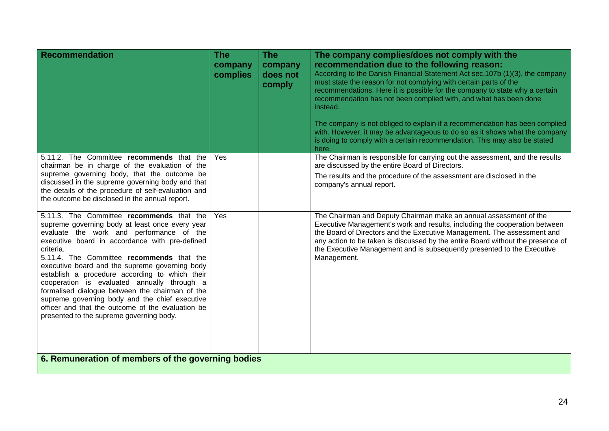| <b>Recommendation</b>                                                                                                                                                                                                                                                                                                                                                                                                                                                                                                                                                                                         | <b>The</b><br>company<br>complies | <b>The</b><br>company<br>does not<br>comply | The company complies/does not comply with the<br>recommendation due to the following reason:<br>According to the Danish Financial Statement Act sec.107b (1)(3), the company<br>must state the reason for not complying with certain parts of the<br>recommendations. Here it is possible for the company to state why a certain<br>recommendation has not been complied with, and what has been done<br>instead.<br>The company is not obliged to explain if a recommendation has been complied<br>with. However, it may be advantageous to do so as it shows what the company<br>is doing to comply with a certain recommendation. This may also be stated<br>here. |  |
|---------------------------------------------------------------------------------------------------------------------------------------------------------------------------------------------------------------------------------------------------------------------------------------------------------------------------------------------------------------------------------------------------------------------------------------------------------------------------------------------------------------------------------------------------------------------------------------------------------------|-----------------------------------|---------------------------------------------|-----------------------------------------------------------------------------------------------------------------------------------------------------------------------------------------------------------------------------------------------------------------------------------------------------------------------------------------------------------------------------------------------------------------------------------------------------------------------------------------------------------------------------------------------------------------------------------------------------------------------------------------------------------------------|--|
| 5.11.2. The Committee recommends that the<br>chairman be in charge of the evaluation of the<br>supreme governing body, that the outcome be<br>discussed in the supreme governing body and that<br>the details of the procedure of self-evaluation and<br>the outcome be disclosed in the annual report.                                                                                                                                                                                                                                                                                                       | <b>Yes</b>                        |                                             | The Chairman is responsible for carrying out the assessment, and the results<br>are discussed by the entire Board of Directors.<br>The results and the procedure of the assessment are disclosed in the<br>company's annual report.                                                                                                                                                                                                                                                                                                                                                                                                                                   |  |
| 5.11.3. The Committee recommends that the<br>supreme governing body at least once every year<br>evaluate the work and performance of the<br>executive board in accordance with pre-defined<br>criteria.<br>5.11.4. The Committee recommends that the<br>executive board and the supreme governing body<br>establish a procedure according to which their<br>cooperation is evaluated annually through a<br>formalised dialogue between the chairman of the<br>supreme governing body and the chief executive<br>officer and that the outcome of the evaluation be<br>presented to the supreme governing body. | Yes                               |                                             | The Chairman and Deputy Chairman make an annual assessment of the<br>Executive Management's work and results, including the cooperation between<br>the Board of Directors and the Executive Management. The assessment and<br>any action to be taken is discussed by the entire Board without the presence of<br>the Executive Management and is subsequently presented to the Executive<br>Management.                                                                                                                                                                                                                                                               |  |
| 6. Remuneration of members of the governing bodies                                                                                                                                                                                                                                                                                                                                                                                                                                                                                                                                                            |                                   |                                             |                                                                                                                                                                                                                                                                                                                                                                                                                                                                                                                                                                                                                                                                       |  |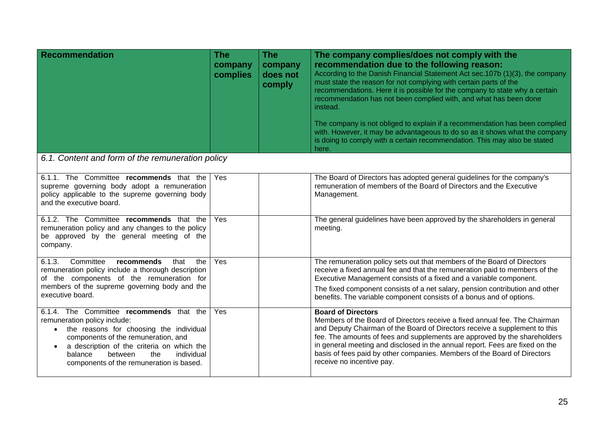| <b>Recommendation</b>                                                                                                                                                                                                                                                                                        | <b>The</b><br>company<br>complies | <b>The</b><br>company<br>does not<br>comply | The company complies/does not comply with the<br>recommendation due to the following reason:<br>According to the Danish Financial Statement Act sec.107b (1)(3), the company<br>must state the reason for not complying with certain parts of the<br>recommendations. Here it is possible for the company to state why a certain<br>recommendation has not been complied with, and what has been done<br>instead.<br>The company is not obliged to explain if a recommendation has been complied<br>with. However, it may be advantageous to do so as it shows what the company<br>is doing to comply with a certain recommendation. This may also be stated<br>here. |
|--------------------------------------------------------------------------------------------------------------------------------------------------------------------------------------------------------------------------------------------------------------------------------------------------------------|-----------------------------------|---------------------------------------------|-----------------------------------------------------------------------------------------------------------------------------------------------------------------------------------------------------------------------------------------------------------------------------------------------------------------------------------------------------------------------------------------------------------------------------------------------------------------------------------------------------------------------------------------------------------------------------------------------------------------------------------------------------------------------|
| 6.1. Content and form of the remuneration policy                                                                                                                                                                                                                                                             |                                   |                                             |                                                                                                                                                                                                                                                                                                                                                                                                                                                                                                                                                                                                                                                                       |
| 6.1.1. The Committee recommends that the<br>supreme governing body adopt a remuneration<br>policy applicable to the supreme governing body<br>and the executive board.                                                                                                                                       | Yes                               |                                             | The Board of Directors has adopted general guidelines for the company's<br>remuneration of members of the Board of Directors and the Executive<br>Management.                                                                                                                                                                                                                                                                                                                                                                                                                                                                                                         |
| 6.1.2. The Committee recommends that the<br>remuneration policy and any changes to the policy<br>be approved by the general meeting of the<br>company.                                                                                                                                                       | Yes                               |                                             | The general guidelines have been approved by the shareholders in general<br>meeting.                                                                                                                                                                                                                                                                                                                                                                                                                                                                                                                                                                                  |
| 6.1.3.<br>Committee<br>that<br>the<br>recommends<br>remuneration policy include a thorough description<br>of the components of the remuneration for<br>members of the supreme governing body and the<br>executive board.                                                                                     | Yes                               |                                             | The remuneration policy sets out that members of the Board of Directors<br>receive a fixed annual fee and that the remuneration paid to members of the<br>Executive Management consists of a fixed and a variable component.<br>The fixed component consists of a net salary, pension contribution and other<br>benefits. The variable component consists of a bonus and of options.                                                                                                                                                                                                                                                                                  |
| 6.1.4. The Committee recommends that the<br>remuneration policy include:<br>the reasons for choosing the individual<br>$\bullet$<br>components of the remuneration, and<br>a description of the criteria on which the<br>balance<br>between<br>the<br>individual<br>components of the remuneration is based. | Yes                               |                                             | <b>Board of Directors</b><br>Members of the Board of Directors receive a fixed annual fee. The Chairman<br>and Deputy Chairman of the Board of Directors receive a supplement to this<br>fee. The amounts of fees and supplements are approved by the shareholders<br>in general meeting and disclosed in the annual report. Fees are fixed on the<br>basis of fees paid by other companies. Members of the Board of Directors<br>receive no incentive pay.                                                                                                                                                                                                           |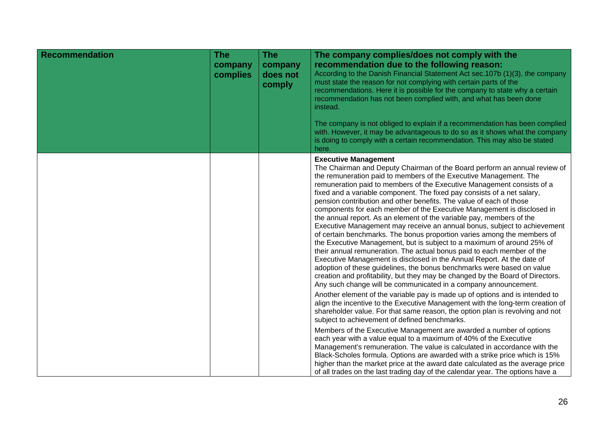| <b>Recommendation</b> | <b>The</b><br>company<br>complies | <b>The</b><br>company<br>does not<br>comply | The company complies/does not comply with the<br>recommendation due to the following reason:<br>According to the Danish Financial Statement Act sec. 107b (1)(3), the company<br>must state the reason for not complying with certain parts of the<br>recommendations. Here it is possible for the company to state why a certain<br>recommendation has not been complied with, and what has been done<br>instead.                                                                                                                                                                                                                                                                                                                                                                                                                                                                                                                                                                                                                                                                                                                                                                                                                                                                                                                                                                                                                                                                                                                                                                                                                                                                                                                                                                          |
|-----------------------|-----------------------------------|---------------------------------------------|---------------------------------------------------------------------------------------------------------------------------------------------------------------------------------------------------------------------------------------------------------------------------------------------------------------------------------------------------------------------------------------------------------------------------------------------------------------------------------------------------------------------------------------------------------------------------------------------------------------------------------------------------------------------------------------------------------------------------------------------------------------------------------------------------------------------------------------------------------------------------------------------------------------------------------------------------------------------------------------------------------------------------------------------------------------------------------------------------------------------------------------------------------------------------------------------------------------------------------------------------------------------------------------------------------------------------------------------------------------------------------------------------------------------------------------------------------------------------------------------------------------------------------------------------------------------------------------------------------------------------------------------------------------------------------------------------------------------------------------------------------------------------------------------|
|                       |                                   |                                             | The company is not obliged to explain if a recommendation has been complied<br>with. However, it may be advantageous to do so as it shows what the company<br>is doing to comply with a certain recommendation. This may also be stated<br>here.                                                                                                                                                                                                                                                                                                                                                                                                                                                                                                                                                                                                                                                                                                                                                                                                                                                                                                                                                                                                                                                                                                                                                                                                                                                                                                                                                                                                                                                                                                                                            |
|                       |                                   |                                             | <b>Executive Management</b><br>The Chairman and Deputy Chairman of the Board perform an annual review of<br>the remuneration paid to members of the Executive Management. The<br>remuneration paid to members of the Executive Management consists of a<br>fixed and a variable component. The fixed pay consists of a net salary,<br>pension contribution and other benefits. The value of each of those<br>components for each member of the Executive Management is disclosed in<br>the annual report. As an element of the variable pay, members of the<br>Executive Management may receive an annual bonus, subject to achievement<br>of certain benchmarks. The bonus proportion varies among the members of<br>the Executive Management, but is subject to a maximum of around 25% of<br>their annual remuneration. The actual bonus paid to each member of the<br>Executive Management is disclosed in the Annual Report. At the date of<br>adoption of these guidelines, the bonus benchmarks were based on value<br>creation and profitability, but they may be changed by the Board of Directors.<br>Any such change will be communicated in a company announcement.<br>Another element of the variable pay is made up of options and is intended to<br>align the incentive to the Executive Management with the long-term creation of<br>shareholder value. For that same reason, the option plan is revolving and not<br>subject to achievement of defined benchmarks.<br>Members of the Executive Management are awarded a number of options<br>each year with a value equal to a maximum of 40% of the Executive<br>Management's remuneration. The value is calculated in accordance with the<br>Black-Scholes formula. Options are awarded with a strike price which is 15% |
|                       |                                   |                                             | higher than the market price at the award date calculated as the average price<br>of all trades on the last trading day of the calendar year. The options have a                                                                                                                                                                                                                                                                                                                                                                                                                                                                                                                                                                                                                                                                                                                                                                                                                                                                                                                                                                                                                                                                                                                                                                                                                                                                                                                                                                                                                                                                                                                                                                                                                            |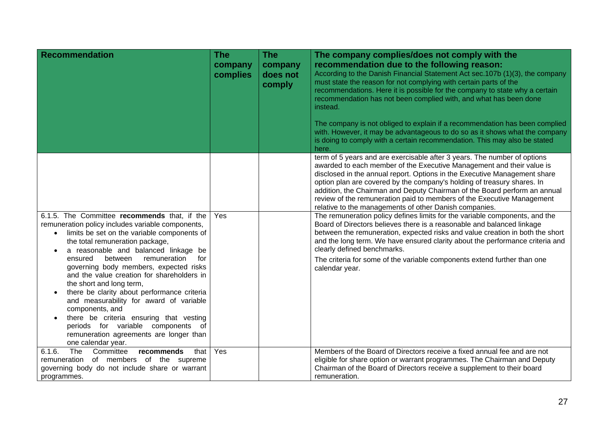| <b>Recommendation</b>                                                                                                                                                                                                                                                                                                                                                                                                                                                                                                                                                                                                                                                                 | <b>The</b><br>company<br>complies | <b>The</b><br>company<br>does not<br>comply | The company complies/does not comply with the<br>recommendation due to the following reason:<br>According to the Danish Financial Statement Act sec. 107b (1)(3), the company<br>must state the reason for not complying with certain parts of the<br>recommendations. Here it is possible for the company to state why a certain<br>recommendation has not been complied with, and what has been done                                                                                                                     |
|---------------------------------------------------------------------------------------------------------------------------------------------------------------------------------------------------------------------------------------------------------------------------------------------------------------------------------------------------------------------------------------------------------------------------------------------------------------------------------------------------------------------------------------------------------------------------------------------------------------------------------------------------------------------------------------|-----------------------------------|---------------------------------------------|----------------------------------------------------------------------------------------------------------------------------------------------------------------------------------------------------------------------------------------------------------------------------------------------------------------------------------------------------------------------------------------------------------------------------------------------------------------------------------------------------------------------------|
|                                                                                                                                                                                                                                                                                                                                                                                                                                                                                                                                                                                                                                                                                       |                                   |                                             | instead.<br>The company is not obliged to explain if a recommendation has been complied<br>with. However, it may be advantageous to do so as it shows what the company<br>is doing to comply with a certain recommendation. This may also be stated<br>here.                                                                                                                                                                                                                                                               |
|                                                                                                                                                                                                                                                                                                                                                                                                                                                                                                                                                                                                                                                                                       |                                   |                                             | term of 5 years and are exercisable after 3 years. The number of options<br>awarded to each member of the Executive Management and their value is<br>disclosed in the annual report. Options in the Executive Management share<br>option plan are covered by the company's holding of treasury shares. In<br>addition, the Chairman and Deputy Chairman of the Board perform an annual<br>review of the remuneration paid to members of the Executive Management<br>relative to the managements of other Danish companies. |
| 6.1.5. The Committee recommends that, if the<br>remuneration policy includes variable components,<br>limits be set on the variable components of<br>$\bullet$<br>the total remuneration package,<br>a reasonable and balanced linkage be<br>$\bullet$<br>between<br>remuneration<br>ensured<br>for<br>governing body members, expected risks<br>and the value creation for shareholders in<br>the short and long term,<br>there be clarity about performance criteria<br>and measurability for award of variable<br>components, and<br>there be criteria ensuring that vesting<br>periods for variable components of<br>remuneration agreements are longer than<br>one calendar year. | Yes                               |                                             | The remuneration policy defines limits for the variable components, and the<br>Board of Directors believes there is a reasonable and balanced linkage<br>between the remuneration, expected risks and value creation in both the short<br>and the long term. We have ensured clarity about the performance criteria and<br>clearly defined benchmarks.<br>The criteria for some of the variable components extend further than one<br>calendar year.                                                                       |
| The<br>Committee<br>6.1.6.<br>recommends<br>that<br>remuneration of members of the supreme<br>governing body do not include share or warrant<br>programmes.                                                                                                                                                                                                                                                                                                                                                                                                                                                                                                                           | Yes                               |                                             | Members of the Board of Directors receive a fixed annual fee and are not<br>eligible for share option or warrant programmes. The Chairman and Deputy<br>Chairman of the Board of Directors receive a supplement to their board<br>remuneration.                                                                                                                                                                                                                                                                            |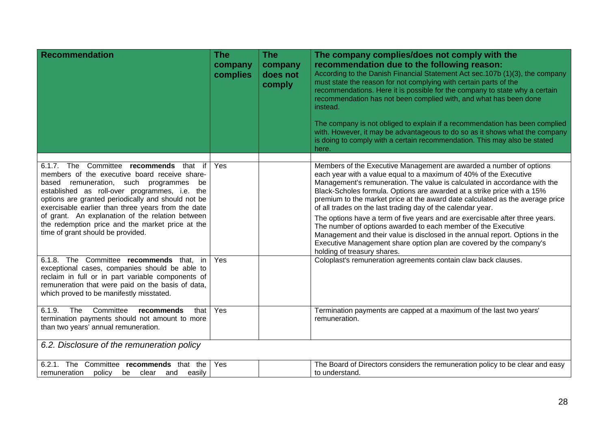| <b>Recommendation</b>                                                                                                                                                                                                                                                                                                                                                                                                                                    | <b>The</b><br>company<br>complies | <b>The</b><br>company<br>does not<br>comply | The company complies/does not comply with the<br>recommendation due to the following reason:<br>According to the Danish Financial Statement Act sec.107b (1)(3), the company<br>must state the reason for not complying with certain parts of the<br>recommendations. Here it is possible for the company to state why a certain<br>recommendation has not been complied with, and what has been done<br>instead.<br>The company is not obliged to explain if a recommendation has been complied<br>with. However, it may be advantageous to do so as it shows what the company<br>is doing to comply with a certain recommendation. This may also be stated<br>here.                                                                                                                   |
|----------------------------------------------------------------------------------------------------------------------------------------------------------------------------------------------------------------------------------------------------------------------------------------------------------------------------------------------------------------------------------------------------------------------------------------------------------|-----------------------------------|---------------------------------------------|-----------------------------------------------------------------------------------------------------------------------------------------------------------------------------------------------------------------------------------------------------------------------------------------------------------------------------------------------------------------------------------------------------------------------------------------------------------------------------------------------------------------------------------------------------------------------------------------------------------------------------------------------------------------------------------------------------------------------------------------------------------------------------------------|
| 6.1.7. The<br>Committee<br>recommends that<br>if<br>members of the executive board receive share-<br>based remuneration, such programmes<br>be<br>established as roll-over programmes, i.e. the<br>options are granted periodically and should not be<br>exercisable earlier than three years from the date<br>of grant. An explanation of the relation between<br>the redemption price and the market price at the<br>time of grant should be provided. | Yes                               |                                             | Members of the Executive Management are awarded a number of options<br>each year with a value equal to a maximum of 40% of the Executive<br>Management's remuneration. The value is calculated in accordance with the<br>Black-Scholes formula. Options are awarded at a strike price with a 15%<br>premium to the market price at the award date calculated as the average price<br>of all trades on the last trading day of the calendar year.<br>The options have a term of five years and are exercisable after three years.<br>The number of options awarded to each member of the Executive<br>Management and their value is disclosed in the annual report. Options in the<br>Executive Management share option plan are covered by the company's<br>holding of treasury shares. |
| 6.1.8. The Committee recommends that, in<br>exceptional cases, companies should be able to<br>reclaim in full or in part variable components of<br>remuneration that were paid on the basis of data,<br>which proved to be manifestly misstated.                                                                                                                                                                                                         | Yes                               |                                             | Coloplast's remuneration agreements contain claw back clauses.                                                                                                                                                                                                                                                                                                                                                                                                                                                                                                                                                                                                                                                                                                                          |
| The<br>Committee<br>6.1.9.<br>recommends<br>that<br>termination payments should not amount to more<br>than two years' annual remuneration.                                                                                                                                                                                                                                                                                                               | Yes                               |                                             | Termination payments are capped at a maximum of the last two years'<br>remuneration.                                                                                                                                                                                                                                                                                                                                                                                                                                                                                                                                                                                                                                                                                                    |
| 6.2. Disclosure of the remuneration policy                                                                                                                                                                                                                                                                                                                                                                                                               |                                   |                                             |                                                                                                                                                                                                                                                                                                                                                                                                                                                                                                                                                                                                                                                                                                                                                                                         |
| 6.2.1. The<br>Committee recommends that the<br>remuneration<br>policy<br>be<br>clear<br>and<br>easily                                                                                                                                                                                                                                                                                                                                                    | Yes                               |                                             | The Board of Directors considers the remuneration policy to be clear and easy<br>to understand.                                                                                                                                                                                                                                                                                                                                                                                                                                                                                                                                                                                                                                                                                         |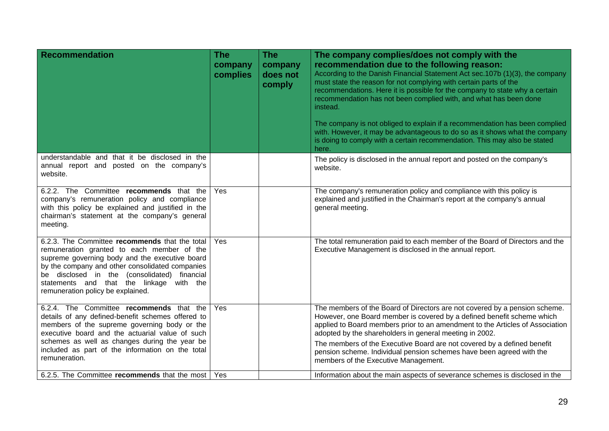| Recommendation                                                                                                                                                                                                                                                                                                                     | <b>The</b><br>company<br>complies | <b>The</b><br>company<br>does not<br>comply | The company complies/does not comply with the<br>recommendation due to the following reason:<br>According to the Danish Financial Statement Act sec.107b (1)(3), the company<br>must state the reason for not complying with certain parts of the<br>recommendations. Here it is possible for the company to state why a certain<br>recommendation has not been complied with, and what has been done<br>instead.<br>The company is not obliged to explain if a recommendation has been complied<br>with. However, it may be advantageous to do so as it shows what the company<br>is doing to comply with a certain recommendation. This may also be stated<br>here. |
|------------------------------------------------------------------------------------------------------------------------------------------------------------------------------------------------------------------------------------------------------------------------------------------------------------------------------------|-----------------------------------|---------------------------------------------|-----------------------------------------------------------------------------------------------------------------------------------------------------------------------------------------------------------------------------------------------------------------------------------------------------------------------------------------------------------------------------------------------------------------------------------------------------------------------------------------------------------------------------------------------------------------------------------------------------------------------------------------------------------------------|
| understandable and that it be disclosed in the<br>annual report and posted on the company's<br>website.                                                                                                                                                                                                                            |                                   |                                             | The policy is disclosed in the annual report and posted on the company's<br>website.                                                                                                                                                                                                                                                                                                                                                                                                                                                                                                                                                                                  |
| 6.2.2. The Committee recommends that the<br>company's remuneration policy and compliance<br>with this policy be explained and justified in the<br>chairman's statement at the company's general<br>meeting.                                                                                                                        | Yes                               |                                             | The company's remuneration policy and compliance with this policy is<br>explained and justified in the Chairman's report at the company's annual<br>general meeting.                                                                                                                                                                                                                                                                                                                                                                                                                                                                                                  |
| 6.2.3. The Committee recommends that the total<br>remuneration granted to each member of the<br>supreme governing body and the executive board<br>by the company and other consolidated companies<br>be disclosed in the (consolidated) financial<br>statements and that the linkage with the<br>remuneration policy be explained. | Yes                               |                                             | The total remuneration paid to each member of the Board of Directors and the<br>Executive Management is disclosed in the annual report.                                                                                                                                                                                                                                                                                                                                                                                                                                                                                                                               |
| 6.2.4. The Committee recommends that the<br>details of any defined-benefit schemes offered to<br>members of the supreme governing body or the<br>executive board and the actuarial value of such<br>schemes as well as changes during the year be<br>included as part of the information on the total<br>remuneration.             | Yes                               |                                             | The members of the Board of Directors are not covered by a pension scheme.<br>However, one Board member is covered by a defined benefit scheme which<br>applied to Board members prior to an amendment to the Articles of Association<br>adopted by the shareholders in general meeting in 2002.<br>The members of the Executive Board are not covered by a defined benefit<br>pension scheme. Individual pension schemes have been agreed with the<br>members of the Executive Management.                                                                                                                                                                           |
| 6.2.5. The Committee recommends that the most                                                                                                                                                                                                                                                                                      | Yes                               |                                             | Information about the main aspects of severance schemes is disclosed in the                                                                                                                                                                                                                                                                                                                                                                                                                                                                                                                                                                                           |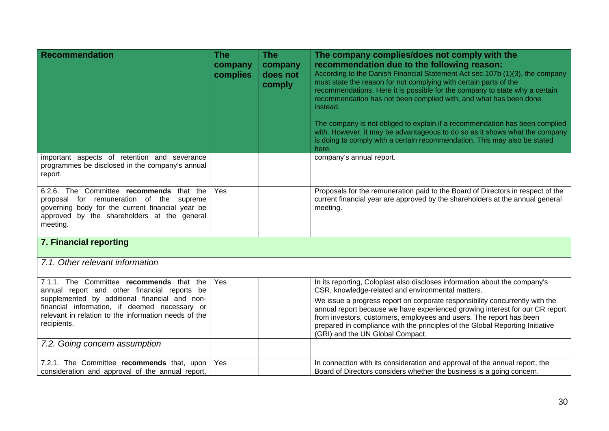| <b>Recommendation</b>                                                                                                                                                                                                                                             | <b>The</b><br>company<br>complies | <b>The</b><br>company<br>does not<br>comply | The company complies/does not comply with the<br>recommendation due to the following reason:<br>According to the Danish Financial Statement Act sec.107b (1)(3), the company<br>must state the reason for not complying with certain parts of the<br>recommendations. Here it is possible for the company to state why a certain<br>recommendation has not been complied with, and what has been done<br>instead.<br>The company is not obliged to explain if a recommendation has been complied<br>with. However, it may be advantageous to do so as it shows what the company<br>is doing to comply with a certain recommendation. This may also be stated<br>here. |
|-------------------------------------------------------------------------------------------------------------------------------------------------------------------------------------------------------------------------------------------------------------------|-----------------------------------|---------------------------------------------|-----------------------------------------------------------------------------------------------------------------------------------------------------------------------------------------------------------------------------------------------------------------------------------------------------------------------------------------------------------------------------------------------------------------------------------------------------------------------------------------------------------------------------------------------------------------------------------------------------------------------------------------------------------------------|
| important aspects of retention and severance<br>programmes be disclosed in the company's annual<br>report.                                                                                                                                                        |                                   |                                             | company's annual report.                                                                                                                                                                                                                                                                                                                                                                                                                                                                                                                                                                                                                                              |
| 6.2.6. The Committee recommends<br>that the<br>proposal for remuneration of the<br>supreme<br>governing body for the current financial year be<br>approved by the shareholders at the general<br>meeting.                                                         | Yes                               |                                             | Proposals for the remuneration paid to the Board of Directors in respect of the<br>current financial year are approved by the shareholders at the annual general<br>meeting.                                                                                                                                                                                                                                                                                                                                                                                                                                                                                          |
| 7. Financial reporting                                                                                                                                                                                                                                            |                                   |                                             |                                                                                                                                                                                                                                                                                                                                                                                                                                                                                                                                                                                                                                                                       |
| 7.1. Other relevant information                                                                                                                                                                                                                                   |                                   |                                             |                                                                                                                                                                                                                                                                                                                                                                                                                                                                                                                                                                                                                                                                       |
| 7.1.1. The Committee recommends that the<br>annual report and other financial reports be<br>supplemented by additional financial and non-<br>financial information, if deemed necessary or<br>relevant in relation to the information needs of the<br>recipients. | Yes                               |                                             | In its reporting, Coloplast also discloses information about the company's<br>CSR, knowledge-related and environmental matters.<br>We issue a progress report on corporate responsibility concurrently with the<br>annual report because we have experienced growing interest for our CR report<br>from investors, customers, employees and users. The report has been<br>prepared in compliance with the principles of the Global Reporting Initiative<br>(GRI) and the UN Global Compact.                                                                                                                                                                           |
| 7.2. Going concern assumption                                                                                                                                                                                                                                     |                                   |                                             |                                                                                                                                                                                                                                                                                                                                                                                                                                                                                                                                                                                                                                                                       |
| 7.2.1. The Committee recommends that, upon<br>consideration and approval of the annual report,                                                                                                                                                                    | Yes                               |                                             | In connection with its consideration and approval of the annual report, the<br>Board of Directors considers whether the business is a going concern.                                                                                                                                                                                                                                                                                                                                                                                                                                                                                                                  |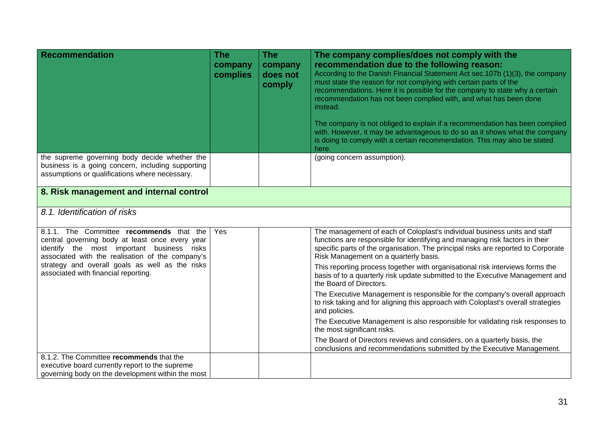| <b>Recommendation</b>                                                                                                                                                                         | <b>The</b><br>company<br>complies | <b>The</b><br>company<br>does not<br>comply | The company complies/does not comply with the<br>recommendation due to the following reason:<br>According to the Danish Financial Statement Act sec.107b (1)(3), the company<br>must state the reason for not complying with certain parts of the<br>recommendations. Here it is possible for the company to state why a certain<br>recommendation has not been complied with, and what has been done<br>instead.<br>The company is not obliged to explain if a recommendation has been complied<br>with. However, it may be advantageous to do so as it shows what the company<br>is doing to comply with a certain recommendation. This may also be stated<br>here. |
|-----------------------------------------------------------------------------------------------------------------------------------------------------------------------------------------------|-----------------------------------|---------------------------------------------|-----------------------------------------------------------------------------------------------------------------------------------------------------------------------------------------------------------------------------------------------------------------------------------------------------------------------------------------------------------------------------------------------------------------------------------------------------------------------------------------------------------------------------------------------------------------------------------------------------------------------------------------------------------------------|
| the supreme governing body decide whether the<br>business is a going concern, including supporting<br>assumptions or qualifications where necessary.                                          |                                   |                                             | (going concern assumption).                                                                                                                                                                                                                                                                                                                                                                                                                                                                                                                                                                                                                                           |
| 8. Risk management and internal control                                                                                                                                                       |                                   |                                             |                                                                                                                                                                                                                                                                                                                                                                                                                                                                                                                                                                                                                                                                       |
| 8.1. Identification of risks                                                                                                                                                                  |                                   |                                             |                                                                                                                                                                                                                                                                                                                                                                                                                                                                                                                                                                                                                                                                       |
| 8.1.1. The Committee recommends that the<br>central governing body at least once every year<br>identify the most important business risks<br>associated with the realisation of the company's | Yes                               |                                             | The management of each of Coloplast's individual business units and staff<br>functions are responsible for identifying and managing risk factors in their<br>specific parts of the organisation. The principal risks are reported to Corporate<br>Risk Management on a quarterly basis.                                                                                                                                                                                                                                                                                                                                                                               |
| strategy and overall goals as well as the risks<br>associated with financial reporting.                                                                                                       |                                   |                                             | This reporting process together with organisational risk interviews forms the<br>basis of to a quarterly risk update submitted to the Executive Management and<br>the Board of Directors.                                                                                                                                                                                                                                                                                                                                                                                                                                                                             |
|                                                                                                                                                                                               |                                   |                                             | The Executive Management is responsible for the company's overall approach<br>to risk taking and for aligning this approach with Coloplast's overall strategies<br>and policies.                                                                                                                                                                                                                                                                                                                                                                                                                                                                                      |
|                                                                                                                                                                                               |                                   |                                             | The Executive Management is also responsible for validating risk responses to<br>the most significant risks.                                                                                                                                                                                                                                                                                                                                                                                                                                                                                                                                                          |
|                                                                                                                                                                                               |                                   |                                             | The Board of Directors reviews and considers, on a quarterly basis, the<br>conclusions and recommendations submitted by the Executive Management.                                                                                                                                                                                                                                                                                                                                                                                                                                                                                                                     |
| 8.1.2. The Committee recommends that the                                                                                                                                                      |                                   |                                             |                                                                                                                                                                                                                                                                                                                                                                                                                                                                                                                                                                                                                                                                       |
| executive board currently report to the supreme                                                                                                                                               |                                   |                                             |                                                                                                                                                                                                                                                                                                                                                                                                                                                                                                                                                                                                                                                                       |
| governing body on the development within the most                                                                                                                                             |                                   |                                             |                                                                                                                                                                                                                                                                                                                                                                                                                                                                                                                                                                                                                                                                       |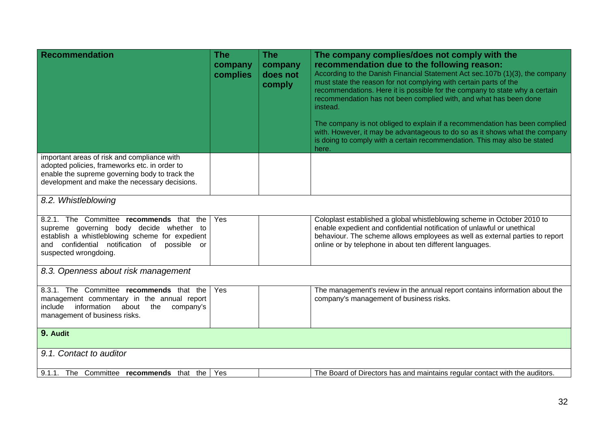| <b>Recommendation</b>                                                                                                                                                                                            | <b>The</b><br>company<br>complies | <b>The</b><br>company<br>does not<br>comply | The company complies/does not comply with the<br>recommendation due to the following reason:<br>According to the Danish Financial Statement Act sec.107b (1)(3), the company<br>must state the reason for not complying with certain parts of the<br>recommendations. Here it is possible for the company to state why a certain<br>recommendation has not been complied with, and what has been done<br>instead.<br>The company is not obliged to explain if a recommendation has been complied<br>with. However, it may be advantageous to do so as it shows what the company |
|------------------------------------------------------------------------------------------------------------------------------------------------------------------------------------------------------------------|-----------------------------------|---------------------------------------------|---------------------------------------------------------------------------------------------------------------------------------------------------------------------------------------------------------------------------------------------------------------------------------------------------------------------------------------------------------------------------------------------------------------------------------------------------------------------------------------------------------------------------------------------------------------------------------|
|                                                                                                                                                                                                                  |                                   |                                             | is doing to comply with a certain recommendation. This may also be stated<br>here.                                                                                                                                                                                                                                                                                                                                                                                                                                                                                              |
| important areas of risk and compliance with<br>adopted policies, frameworks etc. in order to<br>enable the supreme governing body to track the<br>development and make the necessary decisions.                  |                                   |                                             |                                                                                                                                                                                                                                                                                                                                                                                                                                                                                                                                                                                 |
| 8.2. Whistleblowing                                                                                                                                                                                              |                                   |                                             |                                                                                                                                                                                                                                                                                                                                                                                                                                                                                                                                                                                 |
| 8.2.1. The Committee recommends that the<br>supreme governing body decide whether to<br>establish a whistleblowing scheme for expedient<br>and confidential notification of possible or<br>suspected wrongdoing. | Yes                               |                                             | Coloplast established a global whistleblowing scheme in October 2010 to<br>enable expedient and confidential notification of unlawful or unethical<br>behaviour. The scheme allows employees as well as external parties to report<br>online or by telephone in about ten different languages.                                                                                                                                                                                                                                                                                  |
| 8.3. Openness about risk management                                                                                                                                                                              |                                   |                                             |                                                                                                                                                                                                                                                                                                                                                                                                                                                                                                                                                                                 |
| 8.3.1. The Committee recommends that the<br>management commentary in the annual report<br>include<br>information<br>about<br>the<br>company's<br>management of business risks.                                   | Yes                               |                                             | The management's review in the annual report contains information about the<br>company's management of business risks.                                                                                                                                                                                                                                                                                                                                                                                                                                                          |
| 9. Audit                                                                                                                                                                                                         |                                   |                                             |                                                                                                                                                                                                                                                                                                                                                                                                                                                                                                                                                                                 |
| 9.1. Contact to auditor                                                                                                                                                                                          |                                   |                                             |                                                                                                                                                                                                                                                                                                                                                                                                                                                                                                                                                                                 |
| 9.1.1. The Committee recommends that the                                                                                                                                                                         | Yes                               |                                             | The Board of Directors has and maintains regular contact with the auditors.                                                                                                                                                                                                                                                                                                                                                                                                                                                                                                     |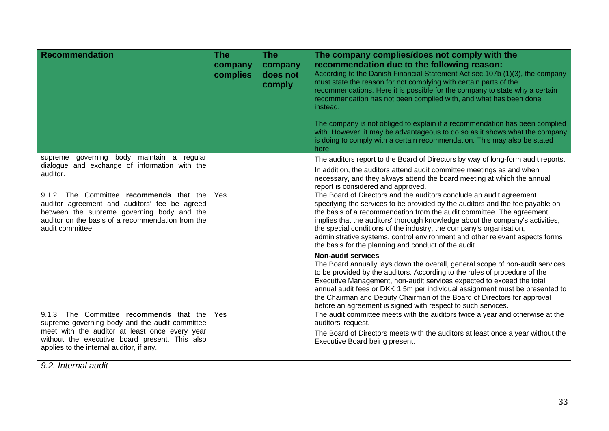| <b>Recommendation</b>                                                                                                                                                                                            | <b>The</b><br>company<br>complies | <b>The</b><br>company<br>does not<br>comply | The company complies/does not comply with the<br>recommendation due to the following reason:<br>According to the Danish Financial Statement Act sec.107b (1)(3), the company<br>must state the reason for not complying with certain parts of the<br>recommendations. Here it is possible for the company to state why a certain<br>recommendation has not been complied with, and what has been done<br>instead.<br>The company is not obliged to explain if a recommendation has been complied<br>with. However, it may be advantageous to do so as it shows what the company<br>is doing to comply with a certain recommendation. This may also be stated<br>here. |
|------------------------------------------------------------------------------------------------------------------------------------------------------------------------------------------------------------------|-----------------------------------|---------------------------------------------|-----------------------------------------------------------------------------------------------------------------------------------------------------------------------------------------------------------------------------------------------------------------------------------------------------------------------------------------------------------------------------------------------------------------------------------------------------------------------------------------------------------------------------------------------------------------------------------------------------------------------------------------------------------------------|
| governing body maintain a regular<br>supreme                                                                                                                                                                     |                                   |                                             | The auditors report to the Board of Directors by way of long-form audit reports.                                                                                                                                                                                                                                                                                                                                                                                                                                                                                                                                                                                      |
| dialogue and exchange of information with the<br>auditor.                                                                                                                                                        |                                   |                                             | In addition, the auditors attend audit committee meetings as and when<br>necessary, and they always attend the board meeting at which the annual<br>report is considered and approved.                                                                                                                                                                                                                                                                                                                                                                                                                                                                                |
| 9.1.2. The Committee recommends that the<br>auditor agreement and auditors' fee be agreed<br>between the supreme governing body and the<br>auditor on the basis of a recommendation from the<br>audit committee. | Yes                               |                                             | The Board of Directors and the auditors conclude an audit agreement<br>specifying the services to be provided by the auditors and the fee payable on<br>the basis of a recommendation from the audit committee. The agreement<br>implies that the auditors' thorough knowledge about the company's activities,<br>the special conditions of the industry, the company's organisation,<br>administrative systems, control environment and other relevant aspects forms<br>the basis for the planning and conduct of the audit.                                                                                                                                         |
|                                                                                                                                                                                                                  |                                   |                                             | <b>Non-audit services</b><br>The Board annually lays down the overall, general scope of non-audit services<br>to be provided by the auditors. According to the rules of procedure of the<br>Executive Management, non-audit services expected to exceed the total<br>annual audit fees or DKK 1.5m per individual assignment must be presented to<br>the Chairman and Deputy Chairman of the Board of Directors for approval<br>before an agreement is signed with respect to such services.                                                                                                                                                                          |
| 9.1.3. The Committee recommends that the<br>supreme governing body and the audit committee                                                                                                                       | Yes                               |                                             | The audit committee meets with the auditors twice a year and otherwise at the<br>auditors' request.                                                                                                                                                                                                                                                                                                                                                                                                                                                                                                                                                                   |
| meet with the auditor at least once every year<br>without the executive board present. This also<br>applies to the internal auditor, if any.                                                                     |                                   |                                             | The Board of Directors meets with the auditors at least once a year without the<br>Executive Board being present.                                                                                                                                                                                                                                                                                                                                                                                                                                                                                                                                                     |
| 9.2. Internal audit                                                                                                                                                                                              |                                   |                                             |                                                                                                                                                                                                                                                                                                                                                                                                                                                                                                                                                                                                                                                                       |